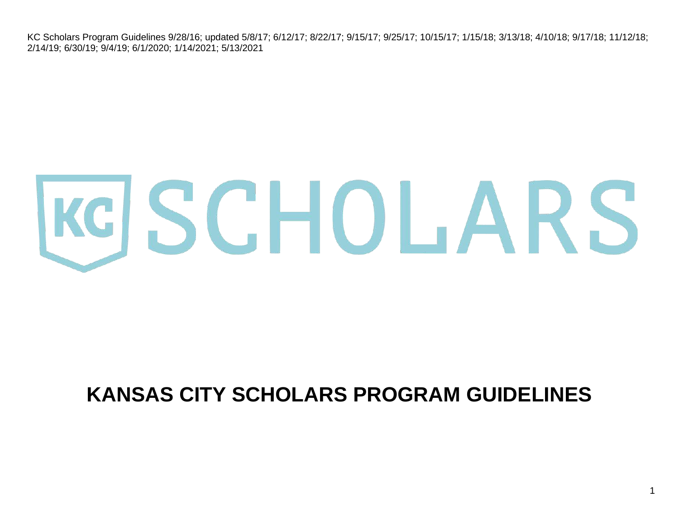# KGSCHOLARS

# **KANSAS CITY SCHOLARS PROGRAM GUIDELINES**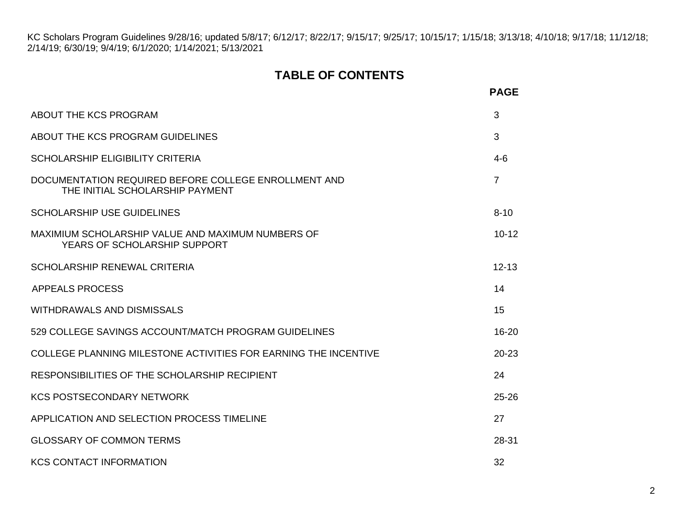# **TABLE OF CONTENTS**

|                                                                                         | <b>PAGE</b>    |
|-----------------------------------------------------------------------------------------|----------------|
| ABOUT THE KCS PROGRAM                                                                   | 3              |
| ABOUT THE KCS PROGRAM GUIDELINES                                                        | 3              |
| <b>SCHOLARSHIP ELIGIBILITY CRITERIA</b>                                                 | $4-6$          |
| DOCUMENTATION REQUIRED BEFORE COLLEGE ENROLLMENT AND<br>THE INITIAL SCHOLARSHIP PAYMENT | $\overline{7}$ |
| <b>SCHOLARSHIP USE GUIDELINES</b>                                                       | $8 - 10$       |
| MAXIMIUM SCHOLARSHIP VALUE AND MAXIMUM NUMBERS OF<br>YEARS OF SCHOLARSHIP SUPPORT       | $10 - 12$      |
| <b>SCHOLARSHIP RENEWAL CRITERIA</b>                                                     | $12 - 13$      |
| <b>APPEALS PROCESS</b>                                                                  | 14             |
| <b>WITHDRAWALS AND DISMISSALS</b>                                                       | 15             |
| 529 COLLEGE SAVINGS ACCOUNT/MATCH PROGRAM GUIDELINES                                    | 16-20          |
| COLLEGE PLANNING MILESTONE ACTIVITIES FOR EARNING THE INCENTIVE                         | $20 - 23$      |
| RESPONSIBILITIES OF THE SCHOLARSHIP RECIPIENT                                           | 24             |
| <b>KCS POSTSECONDARY NETWORK</b>                                                        | $25 - 26$      |
| APPLICATION AND SELECTION PROCESS TIMELINE                                              | 27             |
| <b>GLOSSARY OF COMMON TERMS</b>                                                         | 28-31          |
| <b>KCS CONTACT INFORMATION</b>                                                          | 32             |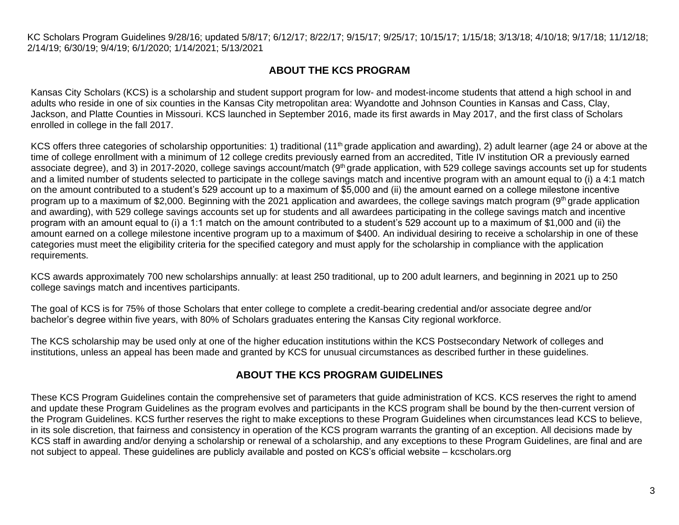# **ABOUT THE KCS PROGRAM**

<span id="page-2-0"></span>Kansas City Scholars (KCS) is a scholarship and student support program for low- and modest-income students that attend a high school in and adults who reside in one of six counties in the Kansas City metropolitan area: Wyandotte and Johnson Counties in Kansas and Cass, Clay, Jackson, and Platte Counties in Missouri. KCS launched in September 2016, made its first awards in May 2017, and the first class of Scholars enrolled in college in the fall 2017.

KCS offers three categories of scholarship opportunities: 1) traditional (11<sup>th</sup> grade application and awarding), 2) adult learner (age 24 or above at the time of college enrollment with a minimum of 12 college credits previously earned from an accredited, Title IV institution OR a previously earned associate degree), and 3) in 2017-2020, college savings account/match ( $9<sup>th</sup>$  grade application, with 529 college savings accounts set up for students and a limited number of students selected to participate in the college savings match and incentive program with an amount equal to (i) a 4:1 match on the amount contributed to a student's 529 account up to a maximum of \$5,000 and (ii) the amount earned on a college milestone incentive program up to a maximum of \$2,000. Beginning with the 2021 application and awardees, the college savings match program (9th grade application and awarding), with 529 college savings accounts set up for students and all awardees participating in the college savings match and incentive program with an amount equal to (i) a 1:1 match on the amount contributed to a student's 529 account up to a maximum of \$1,000 and (ii) the amount earned on a college milestone incentive program up to a maximum of \$400. An individual desiring to receive a scholarship in one of these categories must meet the eligibility criteria for the specified category and must apply for the scholarship in compliance with the application requirements.

KCS awards approximately 700 new scholarships annually: at least 250 traditional, up to 200 adult learners, and beginning in 2021 up to 250 college savings match and incentives participants.

The goal of KCS is for 75% of those Scholars that enter college to complete a credit-bearing credential and/or associate degree and/or bachelor's degree within five years, with 80% of Scholars graduates entering the Kansas City regional workforce.

The KCS scholarship may be used only at one of the higher education institutions within the KCS Postsecondary Network of colleges and institutions, unless an appeal has been made and granted by KCS for unusual circumstances as described further in these guidelines.

# **ABOUT THE KCS PROGRAM GUIDELINES**

<span id="page-2-1"></span>These KCS Program Guidelines contain the comprehensive set of parameters that guide administration of KCS. KCS reserves the right to amend and update these Program Guidelines as the program evolves and participants in the KCS program shall be bound by the then-current version of the Program Guidelines. KCS further reserves the right to make exceptions to these Program Guidelines when circumstances lead KCS to believe, in its sole discretion, that fairness and consistency in operation of the KCS program warrants the granting of an exception. All decisions made by KCS staff in awarding and/or denying a scholarship or renewal of a scholarship, and any exceptions to these Program Guidelines, are final and are not subject to appeal. These guidelines are publicly available and posted on KCS's official website – kcscholars.org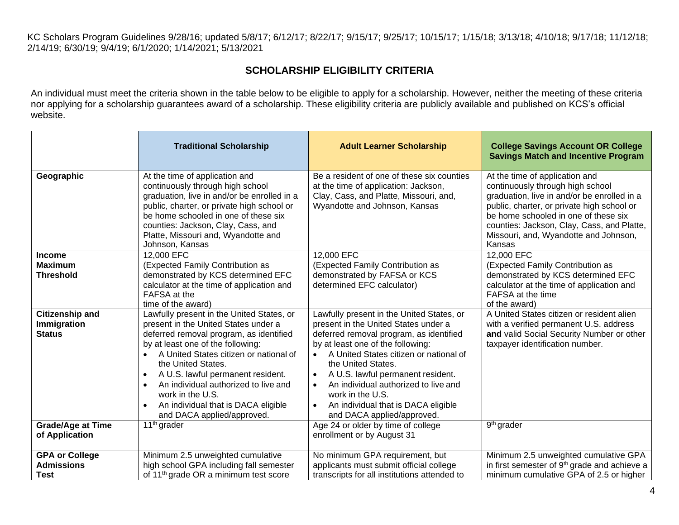# **SCHOLARSHIP ELIGIBILITY CRITERIA**

<span id="page-3-0"></span>An individual must meet the criteria shown in the table below to be eligible to apply for a scholarship. However, neither the meeting of these criteria nor applying for a scholarship guarantees award of a scholarship. These eligibility criteria are publicly available and published on KCS's official website.

|                                                        | <b>Traditional Scholarship</b>                                                                                                                                                                                                                                                                                                                                                                                                    | <b>Adult Learner Scholarship</b>                                                                                                                                                                                                                                                                                                                                                                                                               | <b>College Savings Account OR College</b><br><b>Savings Match and Incentive Program</b>                                                                                                                                                                                                                  |
|--------------------------------------------------------|-----------------------------------------------------------------------------------------------------------------------------------------------------------------------------------------------------------------------------------------------------------------------------------------------------------------------------------------------------------------------------------------------------------------------------------|------------------------------------------------------------------------------------------------------------------------------------------------------------------------------------------------------------------------------------------------------------------------------------------------------------------------------------------------------------------------------------------------------------------------------------------------|----------------------------------------------------------------------------------------------------------------------------------------------------------------------------------------------------------------------------------------------------------------------------------------------------------|
| Geographic                                             | At the time of application and<br>continuously through high school<br>graduation, live in and/or be enrolled in a<br>public, charter, or private high school or<br>be home schooled in one of these six<br>counties: Jackson, Clay, Cass, and<br>Platte, Missouri and, Wyandotte and<br>Johnson, Kansas                                                                                                                           | Be a resident of one of these six counties<br>at the time of application: Jackson,<br>Clay, Cass, and Platte, Missouri, and,<br>Wyandotte and Johnson, Kansas                                                                                                                                                                                                                                                                                  | At the time of application and<br>continuously through high school<br>graduation, live in and/or be enrolled in a<br>public, charter, or private high school or<br>be home schooled in one of these six<br>counties: Jackson, Clay, Cass, and Platte,<br>Missouri, and, Wyandotte and Johnson,<br>Kansas |
| <b>Income</b><br><b>Maximum</b><br><b>Threshold</b>    | 12,000 EFC<br>(Expected Family Contribution as<br>demonstrated by KCS determined EFC<br>calculator at the time of application and<br>FAFSA at the<br>time of the award)                                                                                                                                                                                                                                                           | 12,000 EFC<br>(Expected Family Contribution as<br>demonstrated by FAFSA or KCS<br>determined EFC calculator)                                                                                                                                                                                                                                                                                                                                   | 12,000 EFC<br>(Expected Family Contribution as<br>demonstrated by KCS determined EFC<br>calculator at the time of application and<br>FAFSA at the time<br>of the award)                                                                                                                                  |
| <b>Citizenship and</b><br>Immigration<br><b>Status</b> | Lawfully present in the United States, or<br>present in the United States under a<br>deferred removal program, as identified<br>by at least one of the following:<br>A United States citizen or national of<br>the United States.<br>A U.S. lawful permanent resident.<br>$\bullet$<br>An individual authorized to live and<br>$\bullet$<br>work in the U.S.<br>An individual that is DACA eligible<br>and DACA applied/approved. | Lawfully present in the United States, or<br>present in the United States under a<br>deferred removal program, as identified<br>by at least one of the following:<br>A United States citizen or national of<br>the United States.<br>A U.S. lawful permanent resident.<br>$\bullet$<br>An individual authorized to live and<br>$\bullet$<br>work in the U.S.<br>An individual that is DACA eligible<br>$\bullet$<br>and DACA applied/approved. | A United States citizen or resident alien<br>with a verified permanent U.S. address<br>and valid Social Security Number or other<br>taxpayer identification number.                                                                                                                                      |
| <b>Grade/Age at Time</b><br>of Application             | $11th$ grader                                                                                                                                                                                                                                                                                                                                                                                                                     | Age 24 or older by time of college<br>enrollment or by August 31                                                                                                                                                                                                                                                                                                                                                                               | 9 <sup>th</sup> grader                                                                                                                                                                                                                                                                                   |
| <b>GPA or College</b><br><b>Admissions</b><br>Test     | Minimum 2.5 unweighted cumulative<br>high school GPA including fall semester<br>of 11 <sup>th</sup> grade OR a minimum test score                                                                                                                                                                                                                                                                                                 | No minimum GPA requirement, but<br>applicants must submit official college<br>transcripts for all institutions attended to                                                                                                                                                                                                                                                                                                                     | Minimum 2.5 unweighted cumulative GPA<br>in first semester of 9 <sup>th</sup> grade and achieve a<br>minimum cumulative GPA of 2.5 or higher                                                                                                                                                             |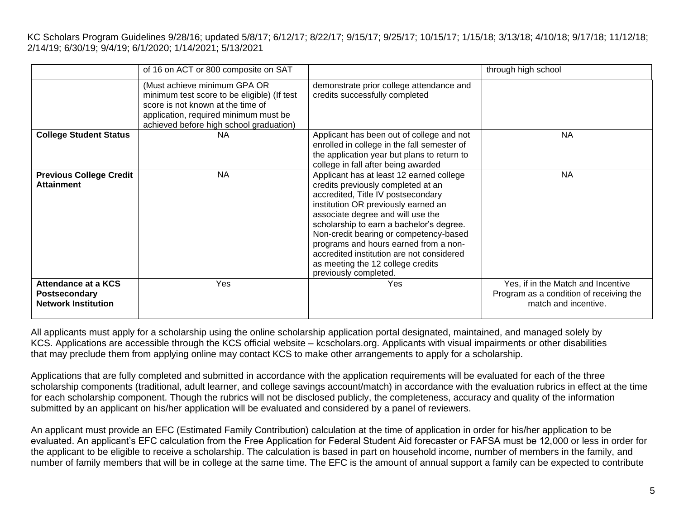|                                                                    | of 16 on ACT or 800 composite on SAT                                                                                                                                                                 |                                                                                                                                                                                                                                                                                                                                                                                                                                            | through high school                                                                                   |
|--------------------------------------------------------------------|------------------------------------------------------------------------------------------------------------------------------------------------------------------------------------------------------|--------------------------------------------------------------------------------------------------------------------------------------------------------------------------------------------------------------------------------------------------------------------------------------------------------------------------------------------------------------------------------------------------------------------------------------------|-------------------------------------------------------------------------------------------------------|
|                                                                    | (Must achieve minimum GPA OR<br>minimum test score to be eligible) (If test<br>score is not known at the time of<br>application, required minimum must be<br>achieved before high school graduation) | demonstrate prior college attendance and<br>credits successfully completed                                                                                                                                                                                                                                                                                                                                                                 |                                                                                                       |
| <b>College Student Status</b>                                      | ΝA                                                                                                                                                                                                   | Applicant has been out of college and not<br>enrolled in college in the fall semester of<br>the application year but plans to return to<br>college in fall after being awarded                                                                                                                                                                                                                                                             | <b>NA</b>                                                                                             |
| <b>Previous College Credit</b><br><b>Attainment</b>                | <b>NA</b>                                                                                                                                                                                            | Applicant has at least 12 earned college<br>credits previously completed at an<br>accredited, Title IV postsecondary<br>institution OR previously earned an<br>associate degree and will use the<br>scholarship to earn a bachelor's degree.<br>Non-credit bearing or competency-based<br>programs and hours earned from a non-<br>accredited institution are not considered<br>as meeting the 12 college credits<br>previously completed. | <b>NA</b>                                                                                             |
| Attendance at a KCS<br>Postsecondary<br><b>Network Institution</b> | Yes                                                                                                                                                                                                  | <b>Yes</b>                                                                                                                                                                                                                                                                                                                                                                                                                                 | Yes, if in the Match and Incentive<br>Program as a condition of receiving the<br>match and incentive. |

All applicants must apply for a scholarship using the online scholarship application portal designated, maintained, and managed solely by KCS. Applications are accessible through the KCS official website – kcscholars.org. Applicants with visual impairments or other disabilities that may preclude them from applying online may contact KCS to make other arrangements to apply for a scholarship.

Applications that are fully completed and submitted in accordance with the application requirements will be evaluated for each of the three scholarship components (traditional, adult learner, and college savings account/match) in accordance with the evaluation rubrics in effect at the time for each scholarship component. Though the rubrics will not be disclosed publicly, the completeness, accuracy and quality of the information submitted by an applicant on his/her application will be evaluated and considered by a panel of reviewers.

An applicant must provide an EFC (Estimated Family Contribution) calculation at the time of application in order for his/her application to be evaluated. An applicant's EFC calculation from the Free Application for Federal Student Aid forecaster or FAFSA must be 12,000 or less in order for the applicant to be eligible to receive a scholarship. The calculation is based in part on household income, number of members in the family, and number of family members that will be in college at the same time. The EFC is the amount of annual support a family can be expected to contribute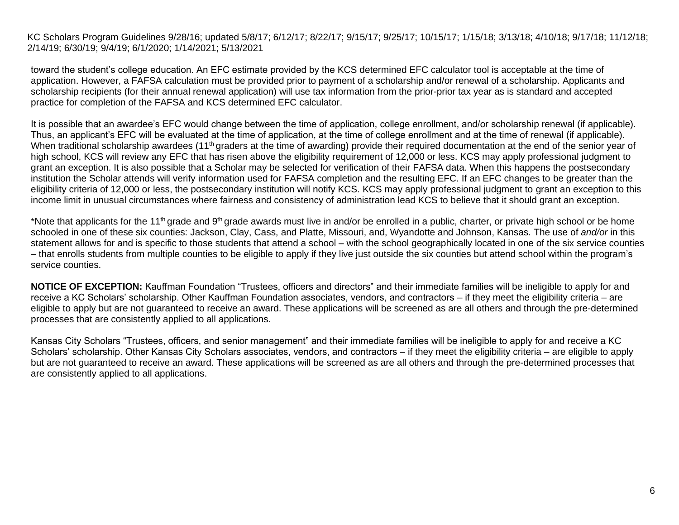toward the student's college education. An EFC estimate provided by the KCS determined EFC calculator tool is acceptable at the time of application. However, a FAFSA calculation must be provided prior to payment of a scholarship and/or renewal of a scholarship. Applicants and scholarship recipients (for their annual renewal application) will use tax information from the prior-prior tax year as is standard and accepted practice for completion of the FAFSA and KCS determined EFC calculator.

It is possible that an awardee's EFC would change between the time of application, college enrollment, and/or scholarship renewal (if applicable). Thus, an applicant's EFC will be evaluated at the time of application, at the time of college enrollment and at the time of renewal (if applicable). When traditional scholarship awardees (11<sup>th</sup> graders at the time of awarding) provide their required documentation at the end of the senior year of high school, KCS will review any EFC that has risen above the eligibility requirement of 12,000 or less. KCS may apply professional judgment to grant an exception. It is also possible that a Scholar may be selected for verification of their FAFSA data. When this happens the postsecondary institution the Scholar attends will verify information used for FAFSA completion and the resulting EFC. If an EFC changes to be greater than the eligibility criteria of 12,000 or less, the postsecondary institution will notify KCS. KCS may apply professional judgment to grant an exception to this income limit in unusual circumstances where fairness and consistency of administration lead KCS to believe that it should grant an exception.

\*Note that applicants for the 11<sup>th</sup> grade and 9<sup>th</sup> grade awards must live in and/or be enrolled in a public, charter, or private high school or be home schooled in one of these six counties: Jackson, Clay, Cass, and Platte, Missouri, and, Wyandotte and Johnson, Kansas. The use of *and/or* in this statement allows for and is specific to those students that attend a school – with the school geographically located in one of the six service counties – that enrolls students from multiple counties to be eligible to apply if they live just outside the six counties but attend school within the program's service counties.

**NOTICE OF EXCEPTION:** Kauffman Foundation "Trustees, officers and directors" and their immediate families will be ineligible to apply for and receive a KC Scholars' scholarship. Other Kauffman Foundation associates, vendors, and contractors – if they meet the eligibility criteria – are eligible to apply but are not guaranteed to receive an award. These applications will be screened as are all others and through the pre-determined processes that are consistently applied to all applications.

Kansas City Scholars "Trustees, officers, and senior management" and their immediate families will be ineligible to apply for and receive a KC Scholars' scholarship. Other Kansas City Scholars associates, vendors, and contractors – if they meet the eligibility criteria – are eligible to apply but are not guaranteed to receive an award. These applications will be screened as are all others and through the pre-determined processes that are consistently applied to all applications.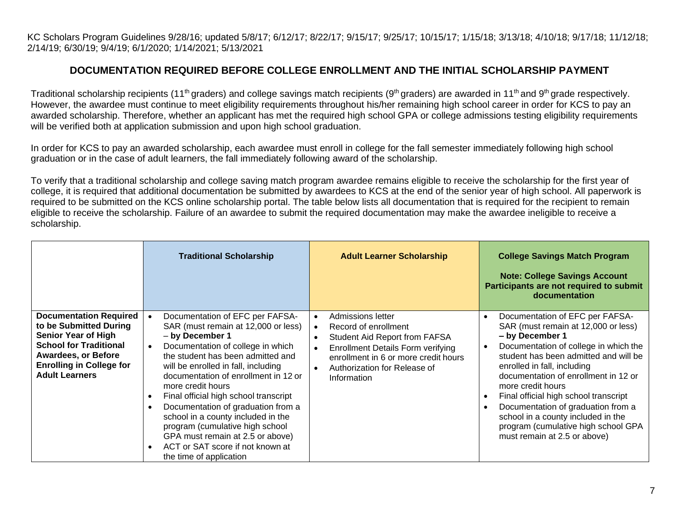# **DOCUMENTATION REQUIRED BEFORE COLLEGE ENROLLMENT AND THE INITIAL SCHOLARSHIP PAYMENT**

Traditional scholarship recipients (11<sup>th</sup> graders) and college savings match recipients (9<sup>th</sup> graders) are awarded in 11<sup>th</sup> and 9<sup>th</sup> grade respectively. However, the awardee must continue to meet eligibility requirements throughout his/her remaining high school career in order for KCS to pay an awarded scholarship. Therefore, whether an applicant has met the required high school GPA or college admissions testing eligibility requirements will be verified both at application submission and upon high school graduation.

In order for KCS to pay an awarded scholarship, each awardee must enroll in college for the fall semester immediately following high school graduation or in the case of adult learners, the fall immediately following award of the scholarship.

To verify that a traditional scholarship and college saving match program awardee remains eligible to receive the scholarship for the first year of college, it is required that additional documentation be submitted by awardees to KCS at the end of the senior year of high school. All paperwork is required to be submitted on the KCS online scholarship portal. The table below lists all documentation that is required for the recipient to remain eligible to receive the scholarship. Failure of an awardee to submit the required documentation may make the awardee ineligible to receive a scholarship.

|                                                                                                                                                                                                                  | <b>Traditional Scholarship</b>                                                                                                                                                                                                                                                                                                                                                                                                                                                                                                                                                         | <b>Adult Learner Scholarship</b>                                                                                                                                                                                                                                               | <b>College Savings Match Program</b><br><b>Note: College Savings Account</b><br>Participants are not required to submit<br>documentation                                                                                                                                                                                                                                                                                                                            |
|------------------------------------------------------------------------------------------------------------------------------------------------------------------------------------------------------------------|----------------------------------------------------------------------------------------------------------------------------------------------------------------------------------------------------------------------------------------------------------------------------------------------------------------------------------------------------------------------------------------------------------------------------------------------------------------------------------------------------------------------------------------------------------------------------------------|--------------------------------------------------------------------------------------------------------------------------------------------------------------------------------------------------------------------------------------------------------------------------------|---------------------------------------------------------------------------------------------------------------------------------------------------------------------------------------------------------------------------------------------------------------------------------------------------------------------------------------------------------------------------------------------------------------------------------------------------------------------|
| <b>Documentation Required</b><br>to be Submitted During<br><b>Senior Year of High</b><br><b>School for Traditional</b><br><b>Awardees, or Before</b><br><b>Enrolling in College for</b><br><b>Adult Learners</b> | Documentation of EFC per FAFSA-<br>SAR (must remain at 12,000 or less)<br>- by December 1<br>Documentation of college in which<br>$\bullet$<br>the student has been admitted and<br>will be enrolled in fall, including<br>documentation of enrollment in 12 or<br>more credit hours<br>Final official high school transcript<br>$\bullet$<br>Documentation of graduation from a<br>$\bullet$<br>school in a county included in the<br>program (cumulative high school<br>GPA must remain at 2.5 or above)<br>ACT or SAT score if not known at<br>$\bullet$<br>the time of application | Admissions letter<br>$\bullet$<br>Record of enrollment<br>$\bullet$<br>Student Aid Report from FAFSA<br>$\bullet$<br><b>Enrollment Details Form verifying</b><br>$\bullet$<br>enrollment in 6 or more credit hours<br>Authorization for Release of<br>$\bullet$<br>Information | Documentation of EFC per FAFSA-<br>SAR (must remain at 12,000 or less)<br>- by December 1<br>Documentation of college in which the<br>student has been admitted and will be<br>enrolled in fall, including<br>documentation of enrollment in 12 or<br>more credit hours<br>Final official high school transcript<br>Documentation of graduation from a<br>school in a county included in the<br>program (cumulative high school GPA<br>must remain at 2.5 or above) |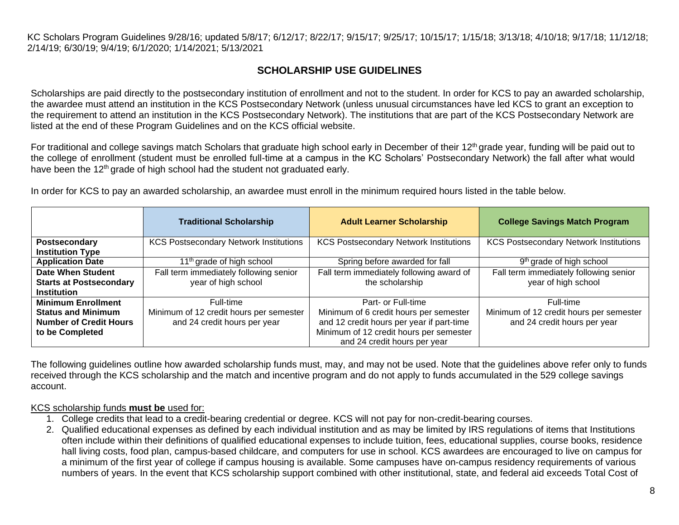# **SCHOLARSHIP USE GUIDELINES**

<span id="page-7-0"></span>Scholarships are paid directly to the postsecondary institution of enrollment and not to the student. In order for KCS to pay an awarded scholarship, the awardee must attend an institution in the KCS Postsecondary Network (unless unusual circumstances have led KCS to grant an exception to the requirement to attend an institution in the KCS Postsecondary Network). The institutions that are part of the KCS Postsecondary Network are listed at the end of these Program Guidelines and on the KCS official website.

For traditional and college savings match Scholars that graduate high school early in December of their  $12<sup>th</sup>$  grade year, funding will be paid out to the college of enrollment (student must be enrolled full-time at a campus in the KC Scholars' Postsecondary Network) the fall after what would have been the 12<sup>th</sup> grade of high school had the student not graduated early.

In order for KCS to pay an awarded scholarship, an awardee must enroll in the minimum required hours listed in the table below.

|                                | <b>Traditional Scholarship</b>                | <b>Adult Learner Scholarship</b>              | <b>College Savings Match Program</b>          |
|--------------------------------|-----------------------------------------------|-----------------------------------------------|-----------------------------------------------|
| Postsecondary                  | <b>KCS Postsecondary Network Institutions</b> | <b>KCS Postsecondary Network Institutions</b> | <b>KCS Postsecondary Network Institutions</b> |
| <b>Institution Type</b>        |                                               |                                               |                                               |
| <b>Application Date</b>        | 11 <sup>th</sup> grade of high school         | Spring before awarded for fall                | 9 <sup>th</sup> grade of high school          |
| <b>Date When Student</b>       | Fall term immediately following senior        | Fall term immediately following award of      | Fall term immediately following senior        |
| <b>Starts at Postsecondary</b> | year of high school                           | the scholarship                               | year of high school                           |
| <b>Institution</b>             |                                               |                                               |                                               |
| <b>Minimum Enrollment</b>      | Full-time                                     | Part- or Full-time                            | Full-time                                     |
| <b>Status and Minimum</b>      | Minimum of 12 credit hours per semester       | Minimum of 6 credit hours per semester        | Minimum of 12 credit hours per semester       |
| <b>Number of Credit Hours</b>  | and 24 credit hours per year                  | and 12 credit hours per year if part-time     | and 24 credit hours per year                  |
| to be Completed                |                                               | Minimum of 12 credit hours per semester       |                                               |
|                                |                                               | and 24 credit hours per year                  |                                               |

The following guidelines outline how awarded scholarship funds must, may, and may not be used. Note that the guidelines above refer only to funds received through the KCS scholarship and the match and incentive program and do not apply to funds accumulated in the 529 college savings account.

#### KCS scholarship funds **must be** used for:

- 1. College credits that lead to a credit-bearing credential or degree. KCS will not pay for non-credit-bearing courses.
- 2. Qualified educational expenses as defined by each individual institution and as may be limited by IRS regulations of items that Institutions often include within their definitions of qualified educational expenses to include tuition, fees, educational supplies, course books, residence hall living costs, food plan, campus-based childcare, and computers for use in school. KCS awardees are encouraged to live on campus for a minimum of the first year of college if campus housing is available. Some campuses have on-campus residency requirements of various numbers of years. In the event that KCS scholarship support combined with other institutional, state, and federal aid exceeds Total Cost of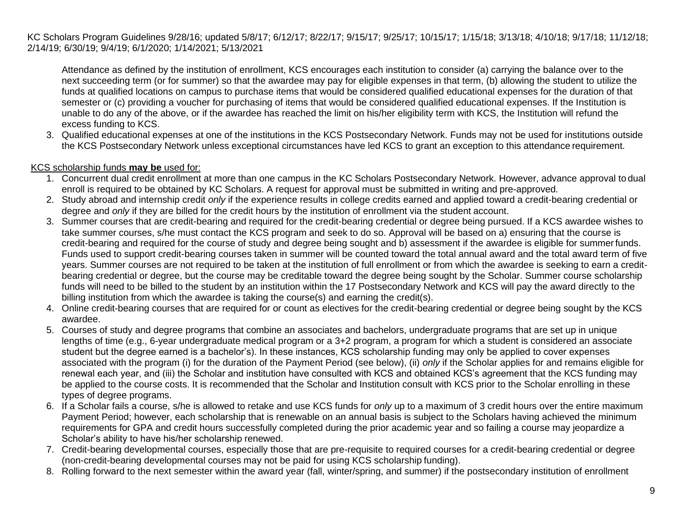Attendance as defined by the institution of enrollment, KCS encourages each institution to consider (a) carrying the balance over to the next succeeding term (or for summer) so that the awardee may pay for eligible expenses in that term, (b) allowing the student to utilize the funds at qualified locations on campus to purchase items that would be considered qualified educational expenses for the duration of that semester or (c) providing a voucher for purchasing of items that would be considered qualified educational expenses. If the Institution is unable to do any of the above, or if the awardee has reached the limit on his/her eligibility term with KCS, the Institution will refund the excess funding to KCS.

3. Qualified educational expenses at one of the institutions in the KCS Postsecondary Network. Funds may not be used for institutions outside the KCS Postsecondary Network unless exceptional circumstances have led KCS to grant an exception to this attendance requirement.

#### KCS scholarship funds **may be** used for:

- 1. Concurrent dual credit enrollment at more than one campus in the KC Scholars Postsecondary Network. However, advance approval to dual enroll is required to be obtained by KC Scholars. A request for approval must be submitted in writing and pre-approved.
- 2. Study abroad and internship credit *only* if the experience results in college credits earned and applied toward a credit-bearing credential or degree and *only* if they are billed for the credit hours by the institution of enrollment via the student account.
- 3. Summer courses that are credit-bearing and required for the credit-bearing credential or degree being pursued. If a KCS awardee wishes to take summer courses, s/he must contact the KCS program and seek to do so. Approval will be based on a) ensuring that the course is credit-bearing and required for the course of study and degree being sought and b) assessment if the awardee is eligible for summerfunds. Funds used to support credit-bearing courses taken in summer will be counted toward the total annual award and the total award term of five years. Summer courses are not required to be taken at the institution of full enrollment or from which the awardee is seeking to earn a creditbearing credential or degree, but the course may be creditable toward the degree being sought by the Scholar. Summer course scholarship funds will need to be billed to the student by an institution within the 17 Postsecondary Network and KCS will pay the award directly to the billing institution from which the awardee is taking the course(s) and earning the credit(s).
- 4. Online credit-bearing courses that are required for or count as electives for the credit-bearing credential or degree being sought by the KCS awardee.
- 5. Courses of study and degree programs that combine an associates and bachelors, undergraduate programs that are set up in unique lengths of time (e.g., 6-year undergraduate medical program or a 3+2 program, a program for which a student is considered an associate student but the degree earned is a bachelor's). In these instances, KCS scholarship funding may only be applied to cover expenses associated with the program (i) for the duration of the Payment Period (see below), (ii) *only* if the Scholar applies for and remains eligible for renewal each year, and (iii) the Scholar and institution have consulted with KCS and obtained KCS's agreement that the KCS funding may be applied to the course costs. It is recommended that the Scholar and Institution consult with KCS prior to the Scholar enrolling in these types of degree programs.
- 6. If a Scholar fails a course, s/he is allowed to retake and use KCS funds for *only* up to a maximum of 3 credit hours over the entire maximum Payment Period; however, each scholarship that is renewable on an annual basis is subject to the Scholars having achieved the minimum requirements for GPA and credit hours successfully completed during the prior academic year and so failing a course may jeopardize a Scholar's ability to have his/her scholarship renewed.
- 7. Credit-bearing developmental courses, especially those that are pre-requisite to required courses for a credit-bearing credential or degree (non-credit-bearing developmental courses may not be paid for using KCS scholarship funding).
- 8. Rolling forward to the next semester within the award year (fall, winter/spring, and summer) if the postsecondary institution of enrollment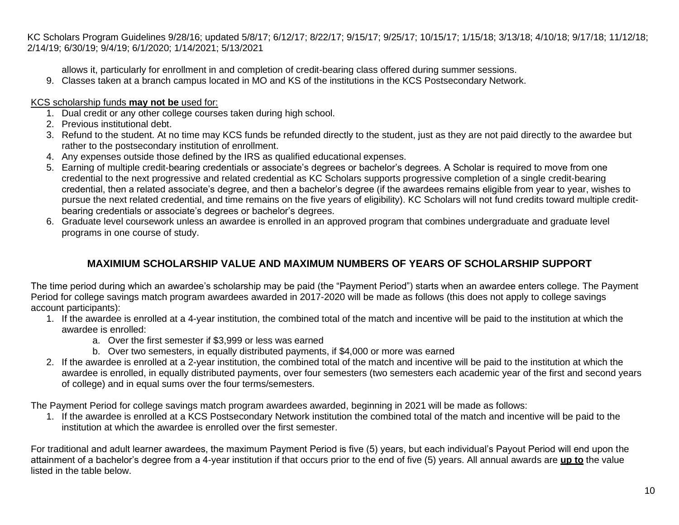allows it, particularly for enrollment in and completion of credit-bearing class offered during summer sessions.

9. Classes taken at a branch campus located in MO and KS of the institutions in the KCS Postsecondary Network.

## KCS scholarship funds **may not be** used for:

- 1. Dual credit or any other college courses taken during high school.
- 2. Previous institutional debt.
- 3. Refund to the student. At no time may KCS funds be refunded directly to the student, just as they are not paid directly to the awardee but rather to the postsecondary institution of enrollment.
- 4. Any expenses outside those defined by the IRS as qualified educational expenses.
- 5. Earning of multiple credit-bearing credentials or associate's degrees or bachelor's degrees. A Scholar is required to move from one credential to the next progressive and related credential as KC Scholars supports progressive completion of a single credit-bearing credential, then a related associate's degree, and then a bachelor's degree (if the awardees remains eligible from year to year, wishes to pursue the next related credential, and time remains on the five years of eligibility). KC Scholars will not fund credits toward multiple creditbearing credentials or associate's degrees or bachelor's degrees.
- 6. Graduate level coursework unless an awardee is enrolled in an approved program that combines undergraduate and graduate level programs in one course of study.

# **MAXIMIUM SCHOLARSHIP VALUE AND MAXIMUM NUMBERS OF YEARS OF SCHOLARSHIP SUPPORT**

The time period during which an awardee's scholarship may be paid (the "Payment Period") starts when an awardee enters college. The Payment Period for college savings match program awardees awarded in 2017-2020 will be made as follows (this does not apply to college savings account participants):

- 1. If the awardee is enrolled at a 4-year institution, the combined total of the match and incentive will be paid to the institution at which the awardee is enrolled:
	- a. Over the first semester if \$3,999 or less was earned
	- b. Over two semesters, in equally distributed payments, if \$4,000 or more was earned
- 2. If the awardee is enrolled at a 2-year institution, the combined total of the match and incentive will be paid to the institution at which the awardee is enrolled, in equally distributed payments, over four semesters (two semesters each academic year of the first and second years of college) and in equal sums over the four terms/semesters.

The Payment Period for college savings match program awardees awarded, beginning in 2021 will be made as follows:

1. If the awardee is enrolled at a KCS Postsecondary Network institution the combined total of the match and incentive will be paid to the institution at which the awardee is enrolled over the first semester.

For traditional and adult learner awardees, the maximum Payment Period is five (5) years, but each individual's Payout Period will end upon the attainment of a bachelor's degree from a 4-year institution if that occurs prior to the end of five (5) years. All annual awards are **up to** the value listed in the table below.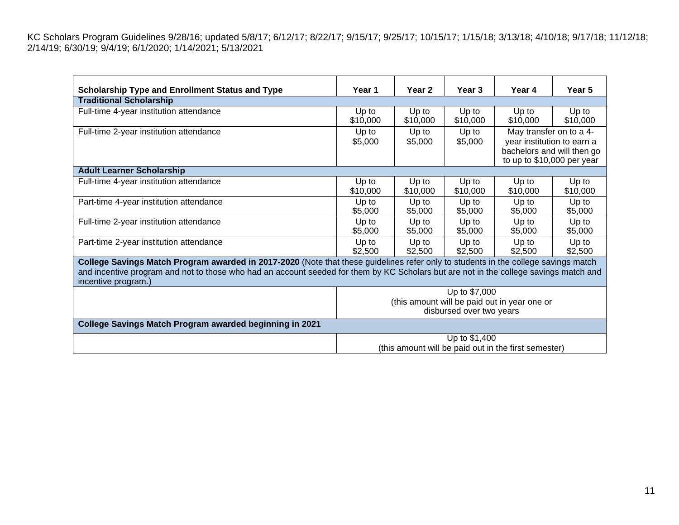| <b>Scholarship Type and Enrollment Status and Type</b>                                                                                                                                                                                                                                             | Year 1                                                                                    | Year 2            | Year 3            | Year 4                                                                                                            | Year 5            |
|----------------------------------------------------------------------------------------------------------------------------------------------------------------------------------------------------------------------------------------------------------------------------------------------------|-------------------------------------------------------------------------------------------|-------------------|-------------------|-------------------------------------------------------------------------------------------------------------------|-------------------|
| <b>Traditional Scholarship</b>                                                                                                                                                                                                                                                                     |                                                                                           |                   |                   |                                                                                                                   |                   |
| Full-time 4-year institution attendance                                                                                                                                                                                                                                                            | Up to<br>\$10,000                                                                         | Up to<br>\$10,000 | Up to<br>\$10,000 | Up to<br>\$10,000                                                                                                 | Up to<br>\$10,000 |
| Full-time 2-year institution attendance                                                                                                                                                                                                                                                            | Up to<br>\$5,000                                                                          | Up to<br>\$5,000  | Up to<br>\$5,000  | May transfer on to a 4-<br>year institution to earn a<br>bachelors and will then go<br>to up to \$10,000 per year |                   |
| <b>Adult Learner Scholarship</b>                                                                                                                                                                                                                                                                   |                                                                                           |                   |                   |                                                                                                                   |                   |
| Full-time 4-year institution attendance                                                                                                                                                                                                                                                            | Up to<br>\$10,000                                                                         | Up to<br>\$10,000 | Up to<br>\$10,000 | Up to<br>\$10,000                                                                                                 | Up to<br>\$10,000 |
| Part-time 4-year institution attendance                                                                                                                                                                                                                                                            | Up to<br>\$5,000                                                                          | Up to<br>\$5,000  | Up to<br>\$5,000  | Up to<br>\$5,000                                                                                                  | Up to<br>\$5,000  |
| Full-time 2-year institution attendance                                                                                                                                                                                                                                                            | Up to<br>\$5,000                                                                          | Up to<br>\$5,000  | Up to<br>\$5,000  | Up to<br>\$5,000                                                                                                  | Up to<br>\$5,000  |
| Part-time 2-year institution attendance                                                                                                                                                                                                                                                            | Up to<br>\$2,500                                                                          | Up to<br>\$2,500  | Up to<br>\$2,500  | Up to<br>\$2,500                                                                                                  | Up to<br>\$2,500  |
| College Savings Match Program awarded in 2017-2020 (Note that these guidelines refer only to students in the college savings match<br>and incentive program and not to those who had an account seeded for them by KC Scholars but are not in the college savings match and<br>incentive program.) |                                                                                           |                   |                   |                                                                                                                   |                   |
|                                                                                                                                                                                                                                                                                                    | Up to \$7,000<br>(this amount will be paid out in year one or<br>disbursed over two years |                   |                   |                                                                                                                   |                   |
| College Savings Match Program awarded beginning in 2021                                                                                                                                                                                                                                            |                                                                                           |                   |                   |                                                                                                                   |                   |
| Up to \$1,400<br>(this amount will be paid out in the first semester)                                                                                                                                                                                                                              |                                                                                           |                   |                   |                                                                                                                   |                   |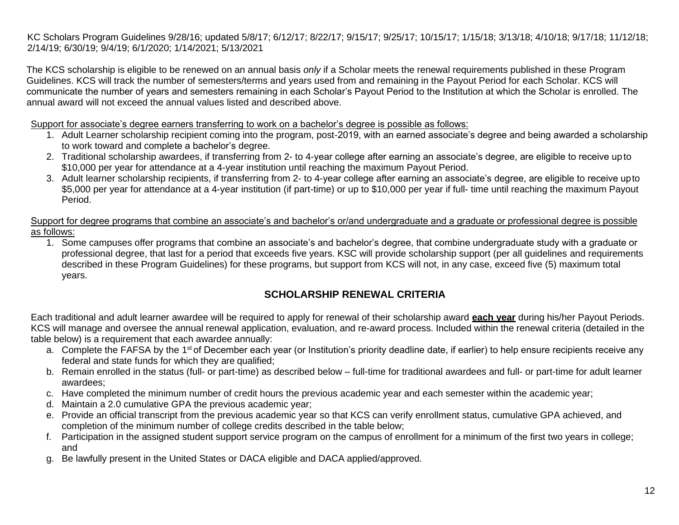The KCS scholarship is eligible to be renewed on an annual basis *only* if a Scholar meets the renewal requirements published in these Program Guidelines. KCS will track the number of semesters/terms and years used from and remaining in the Payout Period for each Scholar. KCS will communicate the number of years and semesters remaining in each Scholar's Payout Period to the Institution at which the Scholar is enrolled. The annual award will not exceed the annual values listed and described above.

Support for associate's degree earners transferring to work on a bachelor's degree is possible as follows:

- 1. Adult Learner scholarship recipient coming into the program, post-2019, with an earned associate's degree and being awarded a scholarship to work toward and complete a bachelor's degree.
- 2. Traditional scholarship awardees, if transferring from 2- to 4-year college after earning an associate's degree, are eligible to receive upto \$10,000 per year for attendance at a 4-year institution until reaching the maximum Payout Period.
- 3. Adult learner scholarship recipients, if transferring from 2- to 4-year college after earning an associate's degree, are eligible to receive upto \$5,000 per year for attendance at a 4-year institution (if part-time) or up to \$10,000 per year if full- time until reaching the maximum Payout Period.

Support for degree programs that combine an associate's and bachelor's or/and undergraduate and a graduate or professional degree is possible as follows:

1. Some campuses offer programs that combine an associate's and bachelor's degree, that combine undergraduate study with a graduate or professional degree, that last for a period that exceeds five years. KSC will provide scholarship support (per all guidelines and requirements described in these Program Guidelines) for these programs, but support from KCS will not, in any case, exceed five (5) maximum total years.

# **SCHOLARSHIP RENEWAL CRITERIA**

<span id="page-11-0"></span>Each traditional and adult learner awardee will be required to apply for renewal of their scholarship award **each year** during his/her Payout Periods. KCS will manage and oversee the annual renewal application, evaluation, and re-award process. Included within the renewal criteria (detailed in the table below) is a requirement that each awardee annually:

- a. Complete the FAFSA by the 1<sup>st</sup> of December each year (or Institution's priority deadline date, if earlier) to help ensure recipients receive any federal and state funds for which they are qualified;
- b. Remain enrolled in the status (full- or part-time) as described below full-time for traditional awardees and full- or part-time for adult learner awardees;
- c. Have completed the minimum number of credit hours the previous academic year and each semester within the academic year;
- d. Maintain a 2.0 cumulative GPA the previous academic year;
- e. Provide an official transcript from the previous academic year so that KCS can verify enrollment status, cumulative GPA achieved, and completion of the minimum number of college credits described in the table below;
- f. Participation in the assigned student support service program on the campus of enrollment for a minimum of the first two years in college; and
- g. Be lawfully present in the United States or DACA eligible and DACA applied/approved.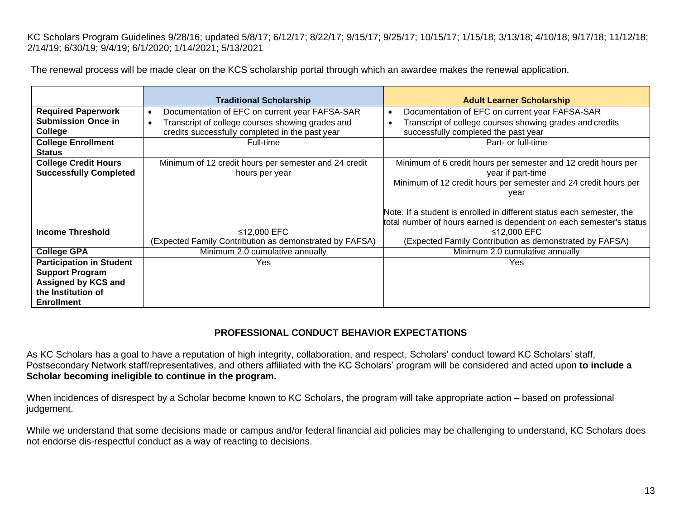The renewal process will be made clear on the KCS scholarship portal through which an awardee makes the renewal application.

|                                                                                                                             | <b>Traditional Scholarship</b>                                                                                                                                     | <b>Adult Learner Scholarship</b>                                                                                                                                                                                                                                                                               |
|-----------------------------------------------------------------------------------------------------------------------------|--------------------------------------------------------------------------------------------------------------------------------------------------------------------|----------------------------------------------------------------------------------------------------------------------------------------------------------------------------------------------------------------------------------------------------------------------------------------------------------------|
| <b>Required Paperwork</b><br><b>Submission Once in</b><br>College                                                           | Documentation of EFC on current year FAFSA-SAR<br>$\bullet$<br>Transcript of college courses showing grades and<br>credits successfully completed in the past year | Documentation of EFC on current year FAFSA-SAR<br>$\bullet$<br>Transcript of college courses showing grades and credits<br>$\bullet$<br>successfully completed the past year                                                                                                                                   |
| <b>College Enrollment</b><br><b>Status</b>                                                                                  | Full-time                                                                                                                                                          | Part- or full-time                                                                                                                                                                                                                                                                                             |
| <b>College Credit Hours</b><br><b>Successfully Completed</b>                                                                | Minimum of 12 credit hours per semester and 24 credit<br>hours per year                                                                                            | Minimum of 6 credit hours per semester and 12 credit hours per<br>year if part-time<br>Minimum of 12 credit hours per semester and 24 credit hours per<br>year<br>Note: If a student is enrolled in different status each semester, the<br>total number of hours earned is dependent on each semester's status |
| <b>Income Threshold</b>                                                                                                     | ≤12,000 EFC<br>(Expected Family Contribution as demonstrated by FAFSA)                                                                                             | ≤12,000 EFC<br>(Expected Family Contribution as demonstrated by FAFSA)                                                                                                                                                                                                                                         |
| <b>College GPA</b>                                                                                                          | Minimum 2.0 cumulative annually                                                                                                                                    | Minimum 2.0 cumulative annually                                                                                                                                                                                                                                                                                |
| <b>Participation in Student</b><br><b>Support Program</b><br>Assigned by KCS and<br>the Institution of<br><b>Enrollment</b> | Yes                                                                                                                                                                | Yes                                                                                                                                                                                                                                                                                                            |

# **PROFESSIONAL CONDUCT BEHAVIOR EXPECTATIONS**

As KC Scholars has a goal to have a reputation of high integrity, collaboration, and respect, Scholars' conduct toward KC Scholars' staff, Postsecondary Network staff/representatives, and others affiliated with the KC Scholars' program will be considered and acted upon **to include a Scholar becoming ineligible to continue in the program.** 

When incidences of disrespect by a Scholar become known to KC Scholars, the program will take appropriate action – based on professional judgement.

While we understand that some decisions made or campus and/or federal financial aid policies may be challenging to understand, KC Scholars does not endorse dis-respectful conduct as a way of reacting to decisions.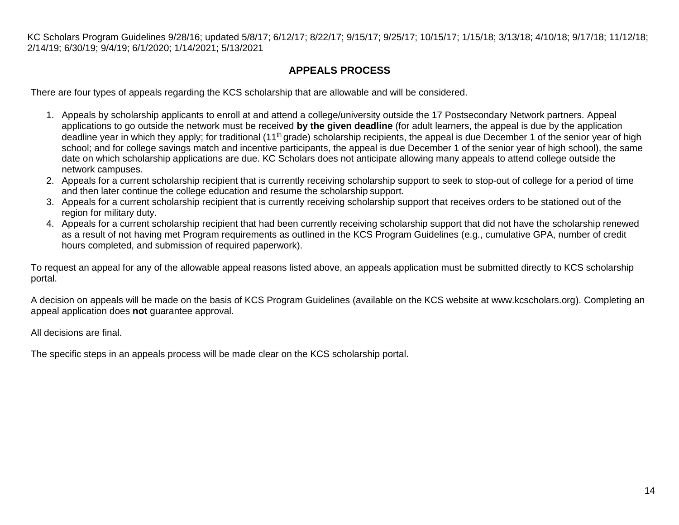# **APPEALS PROCESS**

<span id="page-13-0"></span>There are four types of appeals regarding the KCS scholarship that are allowable and will be considered.

- 1. Appeals by scholarship applicants to enroll at and attend a college/university outside the 17 Postsecondary Network partners. Appeal applications to go outside the network must be received **by the given deadline** (for adult learners, the appeal is due by the application deadline year in which they apply; for traditional (11<sup>th</sup> grade) scholarship recipients, the appeal is due December 1 of the senior year of high school; and for college savings match and incentive participants, the appeal is due December 1 of the senior year of high school), the same date on which scholarship applications are due. KC Scholars does not anticipate allowing many appeals to attend college outside the network campuses.
- 2. Appeals for a current scholarship recipient that is currently receiving scholarship support to seek to stop-out of college for a period of time and then later continue the college education and resume the scholarship support.
- 3. Appeals for a current scholarship recipient that is currently receiving scholarship support that receives orders to be stationed out of the region for military duty.
- 4. Appeals for a current scholarship recipient that had been currently receiving scholarship support that did not have the scholarship renewed as a result of not having met Program requirements as outlined in the KCS Program Guidelines (e.g., cumulative GPA, number of credit hours completed, and submission of required paperwork).

To request an appeal for any of the allowable appeal reasons listed above, an appeals application must be submitted directly to KCS scholarship portal.

A decision on appeals will be made on the basis of KCS Program Guidelines (available on the KCS website at www.kcscholars.org). Completing an appeal application does **not** guarantee approval.

All decisions are final.

The specific steps in an appeals process will be made clear on the KCS scholarship portal.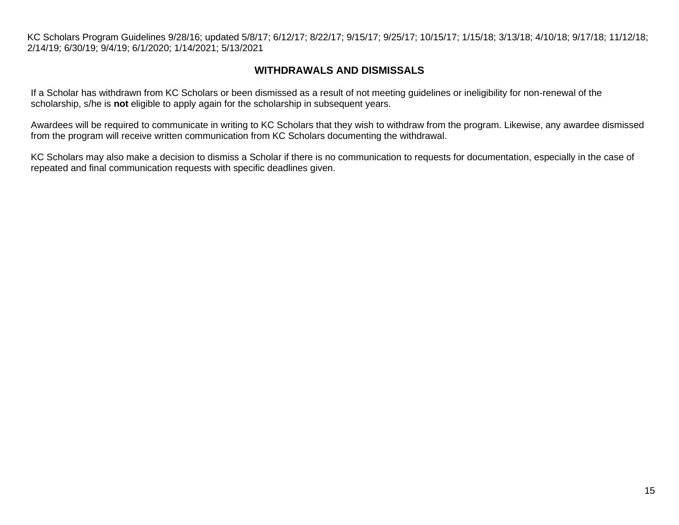## **WITHDRAWALS AND DISMISSALS**

<span id="page-14-0"></span>If a Scholar has withdrawn from KC Scholars or been dismissed as a result of not meeting guidelines or ineligibility for non-renewal of the scholarship, s/he is **not** eligible to apply again for the scholarship in subsequent years.

Awardees will be required to communicate in writing to KC Scholars that they wish to withdraw from the program. Likewise, any awardee dismissed from the program will receive written communication from KC Scholars documenting the withdrawal.

KC Scholars may also make a decision to dismiss a Scholar if there is no communication to requests for documentation, especially in the case of repeated and final communication requests with specific deadlines given.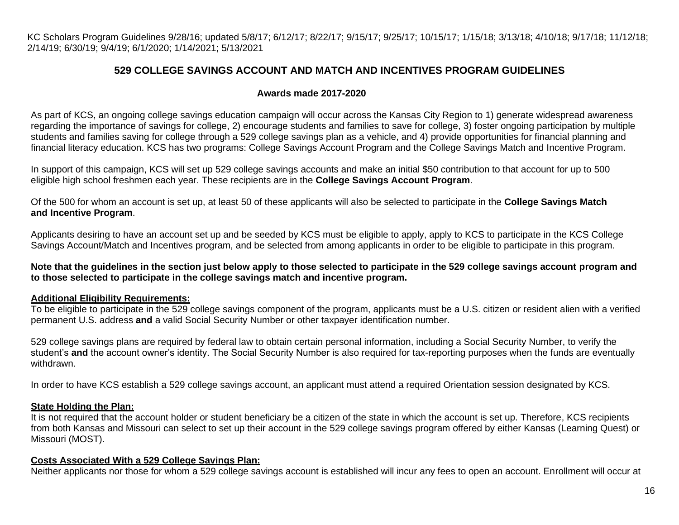# **529 COLLEGE SAVINGS ACCOUNT AND MATCH AND INCENTIVES PROGRAM GUIDELINES**

#### **Awards made 2017-2020**

As part of KCS, an ongoing college savings education campaign will occur across the Kansas City Region to 1) generate widespread awareness regarding the importance of savings for college, 2) encourage students and families to save for college, 3) foster ongoing participation by multiple students and families saving for college through a 529 college savings plan as a vehicle, and 4) provide opportunities for financial planning and financial literacy education. KCS has two programs: College Savings Account Program and the College Savings Match and Incentive Program.

In support of this campaign, KCS will set up 529 college savings accounts and make an initial \$50 contribution to that account for up to 500 eligible high school freshmen each year. These recipients are in the **College Savings Account Program**.

Of the 500 for whom an account is set up, at least 50 of these applicants will also be selected to participate in the **College Savings Match and Incentive Program**.

Applicants desiring to have an account set up and be seeded by KCS must be eligible to apply, apply to KCS to participate in the KCS College Savings Account/Match and Incentives program, and be selected from among applicants in order to be eligible to participate in this program.

**Note that the guidelines in the section just below apply to those selected to participate in the 529 college savings account program and to those selected to participate in the college savings match and incentive program.**

#### **Additional Eligibility Requirements:**

To be eligible to participate in the 529 college savings component of the program, applicants must be a U.S. citizen or resident alien with a verified permanent U.S. address **and** a valid Social Security Number or other taxpayer identification number.

529 college savings plans are required by federal law to obtain certain personal information, including a Social Security Number, to verify the student's **and** the account owner's identity. The Social Security Number is also required for tax-reporting purposes when the funds are eventually withdrawn.

In order to have KCS establish a 529 college savings account, an applicant must attend a required Orientation session designated by KCS.

#### **State Holding the Plan:**

It is not required that the account holder or student beneficiary be a citizen of the state in which the account is set up. Therefore, KCS recipients from both Kansas and Missouri can select to set up their account in the 529 college savings program offered by either Kansas (Learning Quest) or Missouri (MOST).

#### **Costs Associated With a 529 College Savings Plan:**

Neither applicants nor those for whom a 529 college savings account is established will incur any fees to open an account. Enrollment will occur at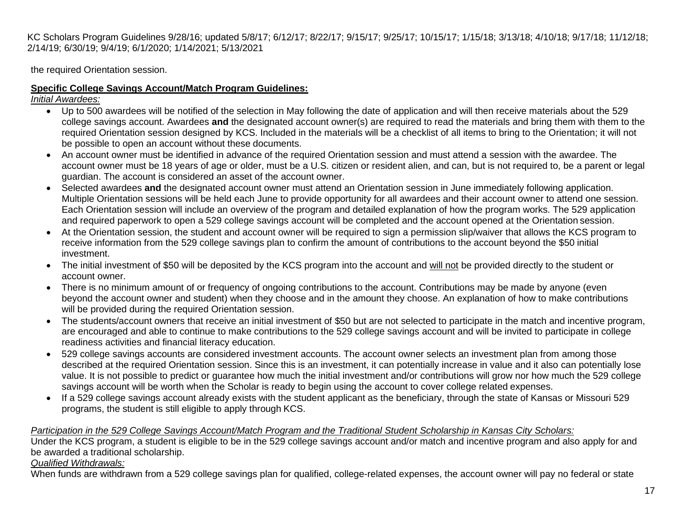the required Orientation session.

# **Specific College Savings Account/Match Program Guidelines:**

*Initial Awardees:*

- Up to 500 awardees will be notified of the selection in May following the date of application and will then receive materials about the 529 college savings account. Awardees **and** the designated account owner(s) are required to read the materials and bring them with them to the required Orientation session designed by KCS. Included in the materials will be a checklist of all items to bring to the Orientation; it will not be possible to open an account without these documents.
- An account owner must be identified in advance of the required Orientation session and must attend a session with the awardee. The account owner must be 18 years of age or older, must be a U.S. citizen or resident alien, and can, but is not required to, be a parent or legal guardian. The account is considered an asset of the account owner.
- Selected awardees **and** the designated account owner must attend an Orientation session in June immediately following application. Multiple Orientation sessions will be held each June to provide opportunity for all awardees and their account owner to attend one session. Each Orientation session will include an overview of the program and detailed explanation of how the program works. The 529 application and required paperwork to open a 529 college savings account will be completed and the account opened at the Orientation session.
- At the Orientation session, the student and account owner will be required to sign a permission slip/waiver that allows the KCS program to receive information from the 529 college savings plan to confirm the amount of contributions to the account beyond the \$50 initial investment.
- The initial investment of \$50 will be deposited by the KCS program into the account and will not be provided directly to the student or account owner.
- There is no minimum amount of or frequency of ongoing contributions to the account. Contributions may be made by anyone (even beyond the account owner and student) when they choose and in the amount they choose. An explanation of how to make contributions will be provided during the required Orientation session.
- The students/account owners that receive an initial investment of \$50 but are not selected to participate in the match and incentive program, are encouraged and able to continue to make contributions to the 529 college savings account and will be invited to participate in college readiness activities and financial literacy education.
- 529 college savings accounts are considered investment accounts. The account owner selects an investment plan from among those described at the required Orientation session. Since this is an investment, it can potentially increase in value and it also can potentially lose value. It is not possible to predict or guarantee how much the initial investment and/or contributions will grow nor how much the 529 college savings account will be worth when the Scholar is ready to begin using the account to cover college related expenses.
- If a 529 college savings account already exists with the student applicant as the beneficiary, through the state of Kansas or Missouri 529 programs, the student is still eligible to apply through KCS.

#### *Participation in the 529 College Savings Account/Match Program and the Traditional Student Scholarship in Kansas City Scholars:*

Under the KCS program, a student is eligible to be in the 529 college savings account and/or match and incentive program and also apply for and be awarded a traditional scholarship.

#### *Qualified Withdrawals:*

When funds are withdrawn from a 529 college savings plan for qualified, college-related expenses, the account owner will pay no federal or state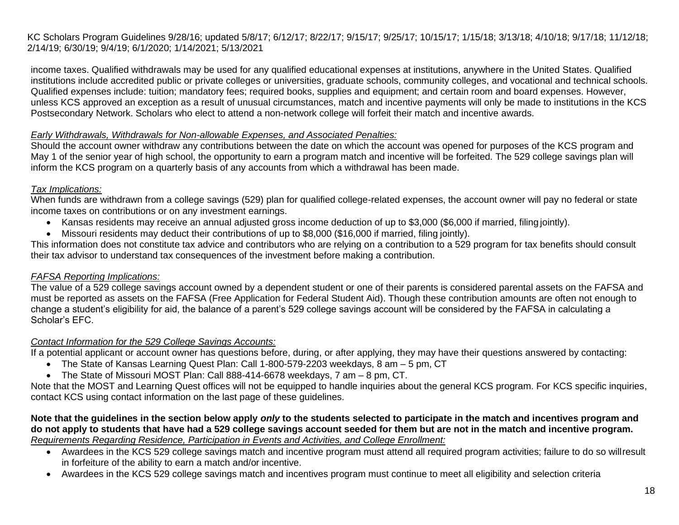income taxes. Qualified withdrawals may be used for any qualified educational expenses at institutions, anywhere in the United States. Qualified institutions include accredited public or private colleges or universities, graduate schools, community colleges, and vocational and technical schools. Qualified expenses include: tuition; mandatory fees; required books, supplies and equipment; and certain room and board expenses. However, unless KCS approved an exception as a result of unusual circumstances, match and incentive payments will only be made to institutions in the KCS Postsecondary Network. Scholars who elect to attend a non-network college will forfeit their match and incentive awards.

#### *Early Withdrawals, Withdrawals for Non-allowable Expenses, and Associated Penalties:*

Should the account owner withdraw any contributions between the date on which the account was opened for purposes of the KCS program and May 1 of the senior year of high school, the opportunity to earn a program match and incentive will be forfeited. The 529 college savings plan will inform the KCS program on a quarterly basis of any accounts from which a withdrawal has been made.

#### *Tax Implications:*

When funds are withdrawn from a college savings (529) plan for qualified college-related expenses, the account owner will pay no federal or state income taxes on contributions or on any investment earnings.

- Kansas residents may receive an annual adjusted gross income deduction of up to \$3,000 (\$6,000 if married, filing jointly).
- Missouri residents may deduct their contributions of up to \$8,000 (\$16,000 if married, filing jointly).

This information does not constitute tax advice and contributors who are relying on a contribution to a 529 program for tax benefits should consult their tax advisor to understand tax consequences of the investment before making a contribution.

#### *FAFSA Reporting Implications:*

The value of a 529 college savings account owned by a dependent student or one of their parents is considered parental assets on the FAFSA and must be reported as assets on the FAFSA (Free Application for Federal Student Aid). Though these contribution amounts are often not enough to change a student's eligibility for aid, the balance of a parent's 529 college savings account will be considered by the FAFSA in calculating a Scholar's EFC.

#### *Contact Information for the 529 College Savings Accounts:*

If a potential applicant or account owner has questions before, during, or after applying, they may have their questions answered by contacting:

- The State of Kansas Learning Quest Plan: Call 1-800-579-2203 weekdays, 8 am 5 pm, CT
- The State of Missouri MOST Plan: Call 888-414-6678 weekdays, 7 am 8 pm, CT.

Note that the MOST and Learning Quest offices will not be equipped to handle inquiries about the general KCS program. For KCS specific inquiries, contact KCS using contact information on the last page of these guidelines.

#### **Note that the guidelines in the section below apply** *only* **to the students selected to participate in the match and incentives program and do not apply to students that have had a 529 college savings account seeded for them but are not in the match and incentive program.** *Requirements Regarding Residence, Participation in Events and Activities, and College Enrollment:*

- Awardees in the KCS 529 college savings match and incentive program must attend all required program activities; failure to do so willresult in forfeiture of the ability to earn a match and/or incentive.
- Awardees in the KCS 529 college savings match and incentives program must continue to meet all eligibility and selection criteria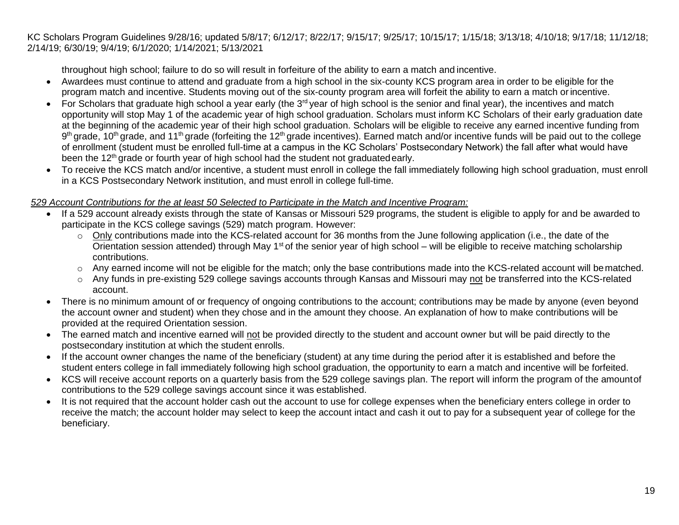throughout high school; failure to do so will result in forfeiture of the ability to earn a match and incentive.

- Awardees must continue to attend and graduate from a high school in the six-county KCS program area in order to be eligible for the program match and incentive. Students moving out of the six-county program area will forfeit the ability to earn a match orincentive.
- For Scholars that graduate high school a year early (the 3<sup>rd</sup> year of high school is the senior and final year), the incentives and match opportunity will stop May 1 of the academic year of high school graduation. Scholars must inform KC Scholars of their early graduation date at the beginning of the academic year of their high school graduation. Scholars will be eligible to receive any earned incentive funding from 9<sup>th</sup> grade, 10<sup>th</sup> grade, and 11<sup>th</sup> grade (forfeiting the 12<sup>th</sup> grade incentives). Earned match and/or incentive funds will be paid out to the college of enrollment (student must be enrolled full-time at a campus in the KC Scholars' Postsecondary Network) the fall after what would have been the 12<sup>th</sup> grade or fourth year of high school had the student not graduated early.
- To receive the KCS match and/or incentive, a student must enroll in college the fall immediately following high school graduation, must enroll in a KCS Postsecondary Network institution, and must enroll in college full-time.

#### *529 Account Contributions for the at least 50 Selected to Participate in the Match and Incentive Program:*

- If a 529 account already exists through the state of Kansas or Missouri 529 programs, the student is eligible to apply for and be awarded to participate in the KCS college savings (529) match program. However:
	- $\circ$  Only contributions made into the KCS-related account for 36 months from the June following application (i.e., the date of the Orientation session attended) through May 1<sup>st</sup> of the senior year of high school – will be eligible to receive matching scholarship contributions.
	- o Any earned income will not be eligible for the match; only the base contributions made into the KCS-related account will bematched.
	- o Any funds in pre-existing 529 college savings accounts through Kansas and Missouri may not be transferred into the KCS-related account.
- There is no minimum amount of or frequency of ongoing contributions to the account; contributions may be made by anyone (even beyond the account owner and student) when they chose and in the amount they choose. An explanation of how to make contributions will be provided at the required Orientation session.
- The earned match and incentive earned will not be provided directly to the student and account owner but will be paid directly to the postsecondary institution at which the student enrolls.
- If the account owner changes the name of the beneficiary (student) at any time during the period after it is established and before the student enters college in fall immediately following high school graduation, the opportunity to earn a match and incentive will be forfeited.
- KCS will receive account reports on a quarterly basis from the 529 college savings plan. The report will inform the program of the amountof contributions to the 529 college savings account since it was established.
- It is not required that the account holder cash out the account to use for college expenses when the beneficiary enters college in order to receive the match; the account holder may select to keep the account intact and cash it out to pay for a subsequent year of college for the beneficiary.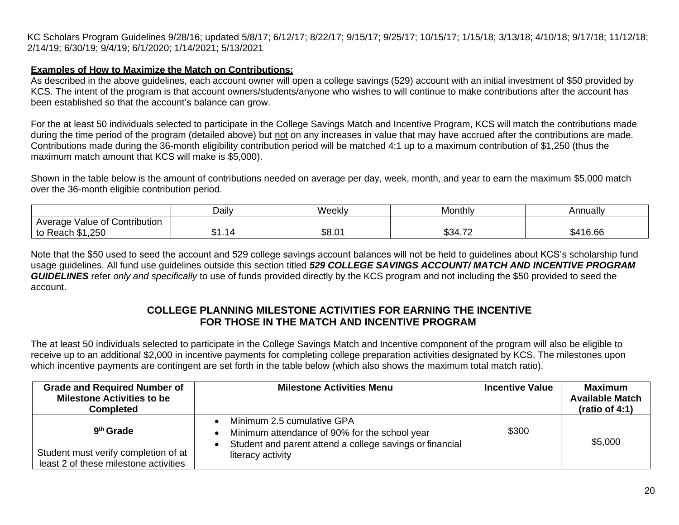#### **Examples of How to Maximize the Match on Contributions:**

As described in the above guidelines, each account owner will open a college savings (529) account with an initial investment of \$50 provided by KCS. The intent of the program is that account owners/students/anyone who wishes to will continue to make contributions after the account has been established so that the account's balance can grow.

For the at least 50 individuals selected to participate in the College Savings Match and Incentive Program, KCS will match the contributions made during the time period of the program (detailed above) but not on any increases in value that may have accrued after the contributions are made. Contributions made during the 36-month eligibility contribution period will be matched 4:1 up to a maximum contribution of \$1,250 (thus the maximum match amount that KCS will make is \$5,000).

Shown in the table below is the amount of contributions needed on average per day, week, month, and year to earn the maximum \$5,000 match over the 36-month eligible contribution period.

|                                  | Daily        | Weekly | Monthly | Annually |
|----------------------------------|--------------|--------|---------|----------|
| Value of Contribution<br>Average |              |        |         |          |
| \$1,250<br>to Reach              | . .<br>∸ו.וע | \$8.01 | \$34.72 | \$416.66 |

Note that the \$50 used to seed the account and 529 college savings account balances will not be held to guidelines about KCS's scholarship fund usage guidelines. All fund use guidelines outside this section titled *529 COLLEGE SAVINGS ACCOUNT/ MATCH AND INCENTIVE PROGRAM GUIDELINES* refer *only and specifically* to use of funds provided directly by the KCS program and not including the \$50 provided to seed the account.

# **COLLEGE PLANNING MILESTONE ACTIVITIES FOR EARNING THE INCENTIVE FOR THOSE IN THE MATCH AND INCENTIVE PROGRAM**

The at least 50 individuals selected to participate in the College Savings Match and Incentive component of the program will also be eligible to receive up to an additional \$2,000 in incentive payments for completing college preparation activities designated by KCS. The milestones upon which incentive payments are contingent are set forth in the table below (which also shows the maximum total match ratio).

| <b>Grade and Required Number of</b><br><b>Milestone Activities to be</b><br>Completed                  | <b>Milestone Activities Menu</b>                                                                                                                                                                    | <b>Incentive Value</b> | Maximum<br><b>Available Match</b><br>(ratio of 4:1) |
|--------------------------------------------------------------------------------------------------------|-----------------------------------------------------------------------------------------------------------------------------------------------------------------------------------------------------|------------------------|-----------------------------------------------------|
| 9 <sup>th</sup> Grade<br>Student must verify completion of at<br>least 2 of these milestone activities | Minimum 2.5 cumulative GPA<br>$\bullet$<br>Minimum attendance of 90% for the school year<br>$\bullet$<br>Student and parent attend a college savings or financial<br>$\bullet$<br>literacy activity | \$300                  | \$5,000                                             |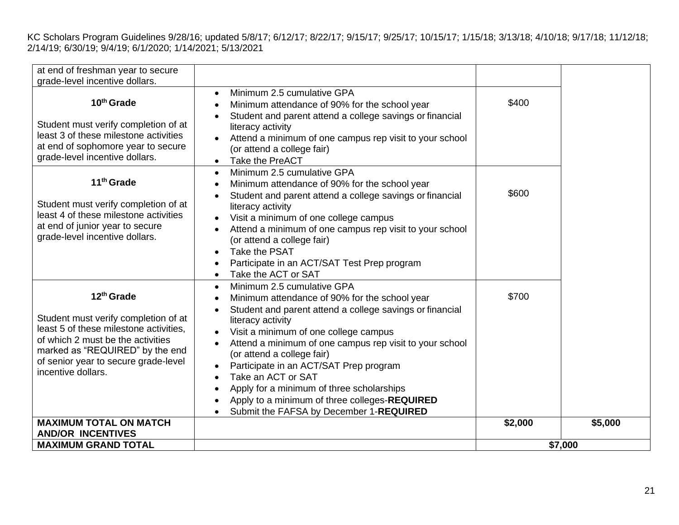| at end of freshman year to secure<br>grade-level incentive dollars.                                                                                                                                                                            |                                                                                                                                                                                                                                                                                                                                                                                                                                                                                                                                   |         |         |
|------------------------------------------------------------------------------------------------------------------------------------------------------------------------------------------------------------------------------------------------|-----------------------------------------------------------------------------------------------------------------------------------------------------------------------------------------------------------------------------------------------------------------------------------------------------------------------------------------------------------------------------------------------------------------------------------------------------------------------------------------------------------------------------------|---------|---------|
| 10 <sup>th</sup> Grade<br>Student must verify completion of at<br>least 3 of these milestone activities<br>at end of sophomore year to secure<br>grade-level incentive dollars.                                                                | Minimum 2.5 cumulative GPA<br>$\bullet$<br>Minimum attendance of 90% for the school year<br>Student and parent attend a college savings or financial<br>literacy activity<br>Attend a minimum of one campus rep visit to your school<br>(or attend a college fair)<br>Take the PreACT<br>$\bullet$                                                                                                                                                                                                                                | \$400   |         |
| 11 <sup>th</sup> Grade<br>Student must verify completion of at<br>least 4 of these milestone activities<br>at end of junior year to secure<br>grade-level incentive dollars.                                                                   | Minimum 2.5 cumulative GPA<br>$\bullet$<br>Minimum attendance of 90% for the school year<br>Student and parent attend a college savings or financial<br>literacy activity<br>Visit a minimum of one college campus<br>Attend a minimum of one campus rep visit to your school<br>(or attend a college fair)<br>Take the PSAT<br>$\bullet$<br>Participate in an ACT/SAT Test Prep program<br>Take the ACT or SAT                                                                                                                   | \$600   |         |
| 12 <sup>th</sup> Grade<br>Student must verify completion of at<br>least 5 of these milestone activities.<br>of which 2 must be the activities<br>marked as "REQUIRED" by the end<br>of senior year to secure grade-level<br>incentive dollars. | Minimum 2.5 cumulative GPA<br>$\bullet$<br>Minimum attendance of 90% for the school year<br>Student and parent attend a college savings or financial<br>literacy activity<br>Visit a minimum of one college campus<br>Attend a minimum of one campus rep visit to your school<br>(or attend a college fair)<br>Participate in an ACT/SAT Prep program<br>$\bullet$<br>Take an ACT or SAT<br>Apply for a minimum of three scholarships<br>Apply to a minimum of three colleges-REQUIRED<br>Submit the FAFSA by December 1-REQUIRED | \$700   |         |
| <b>MAXIMUM TOTAL ON MATCH</b><br><b>AND/OR INCENTIVES</b>                                                                                                                                                                                      |                                                                                                                                                                                                                                                                                                                                                                                                                                                                                                                                   | \$2,000 | \$5,000 |
| <b>MAXIMUM GRAND TOTAL</b>                                                                                                                                                                                                                     |                                                                                                                                                                                                                                                                                                                                                                                                                                                                                                                                   |         | \$7,000 |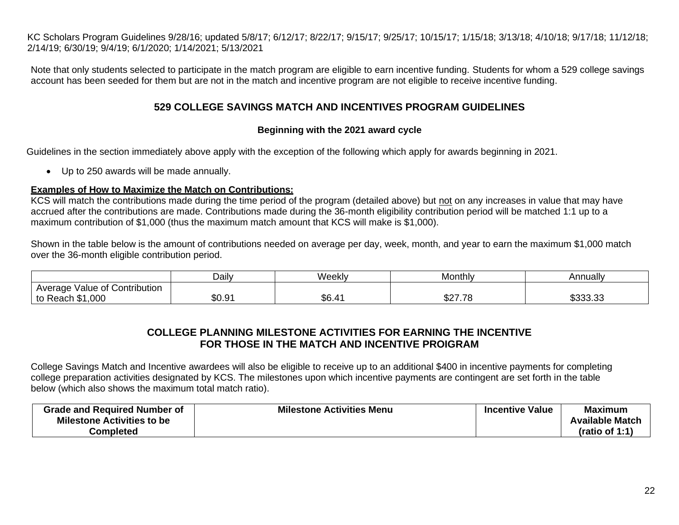Note that only students selected to participate in the match program are eligible to earn incentive funding. Students for whom a 529 college savings account has been seeded for them but are not in the match and incentive program are not eligible to receive incentive funding.

### **529 COLLEGE SAVINGS MATCH AND INCENTIVES PROGRAM GUIDELINES**

#### **Beginning with the 2021 award cycle**

Guidelines in the section immediately above apply with the exception of the following which apply for awards beginning in 2021.

• Up to 250 awards will be made annually.

#### **Examples of How to Maximize the Match on Contributions:**

KCS will match the contributions made during the time period of the program (detailed above) but not on any increases in value that may have accrued after the contributions are made. Contributions made during the 36-month eligibility contribution period will be matched 1:1 up to a maximum contribution of \$1,000 (thus the maximum match amount that KCS will make is \$1,000).

Shown in the table below is the amount of contributions needed on average per day, week, month, and year to earn the maximum \$1,000 match over the 36-month eligible contribution period.

|                                            | Dailv  | Weekly | Monthly                  | Annually           |
|--------------------------------------------|--------|--------|--------------------------|--------------------|
| Value of Contribution<br>Average           |        |        |                          |                    |
| ,000<br><b>PA</b><br>to .<br>Reach<br>- 42 | \$0.91 | \$6.4' | ሶሳ7 70<br><b>J</b> ZI.IO | やへへへ へへ<br>⊎ບບບ.ບບ |

# **COLLEGE PLANNING MILESTONE ACTIVITIES FOR EARNING THE INCENTIVE FOR THOSE IN THE MATCH AND INCENTIVE PROIGRAM**

College Savings Match and Incentive awardees will also be eligible to receive up to an additional \$400 in incentive payments for completing college preparation activities designated by KCS. The milestones upon which incentive payments are contingent are set forth in the table below (which also shows the maximum total match ratio).

| <b>Grade and Required Number of</b> | <b>Milestone Activities Menu</b> | <b>Incentive Value</b> | <b>Maximum</b>         |
|-------------------------------------|----------------------------------|------------------------|------------------------|
| <b>Milestone Activities to be</b>   |                                  |                        | <b>Available Match</b> |
| <b>Completed</b>                    |                                  |                        | (ratio of 1:1)         |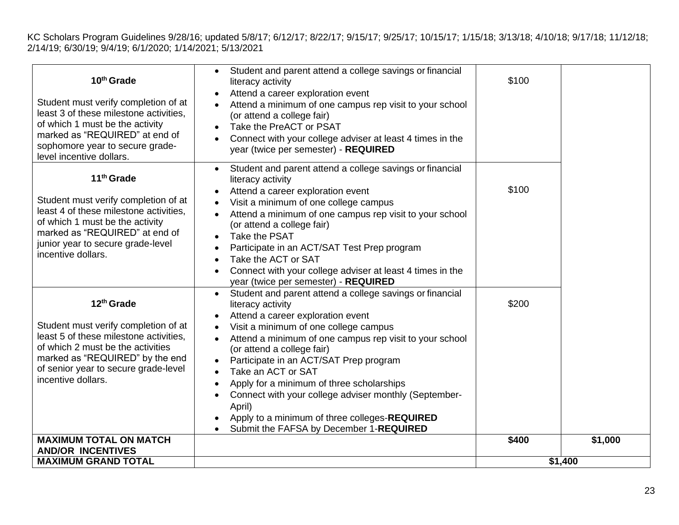| 10 <sup>th</sup> Grade<br>Student must verify completion of at<br>least 3 of these milestone activities,<br>of which 1 must be the activity<br>marked as "REQUIRED" at end of<br>sophomore year to secure grade-<br>level incentive dollars.   | Student and parent attend a college savings or financial<br>$\bullet$<br>literacy activity<br>Attend a career exploration event<br>$\bullet$<br>Attend a minimum of one campus rep visit to your school<br>$\bullet$<br>(or attend a college fair)<br>Take the PreACT or PSAT<br>Connect with your college adviser at least 4 times in the<br>year (twice per semester) - REQUIRED                                                                                                                                                                                                                                          | \$100   |         |
|------------------------------------------------------------------------------------------------------------------------------------------------------------------------------------------------------------------------------------------------|-----------------------------------------------------------------------------------------------------------------------------------------------------------------------------------------------------------------------------------------------------------------------------------------------------------------------------------------------------------------------------------------------------------------------------------------------------------------------------------------------------------------------------------------------------------------------------------------------------------------------------|---------|---------|
| 11 <sup>th</sup> Grade<br>Student must verify completion of at<br>least 4 of these milestone activities,<br>of which 1 must be the activity<br>marked as "REQUIRED" at end of<br>junior year to secure grade-level<br>incentive dollars.       | Student and parent attend a college savings or financial<br>$\bullet$<br>literacy activity<br>Attend a career exploration event<br>$\bullet$<br>Visit a minimum of one college campus<br>Attend a minimum of one campus rep visit to your school<br>$\bullet$<br>(or attend a college fair)<br>Take the PSAT<br>$\bullet$<br>Participate in an ACT/SAT Test Prep program<br>$\bullet$<br>Take the ACT or SAT<br>$\bullet$<br>Connect with your college adviser at least 4 times in the<br>$\bullet$<br>year (twice per semester) - REQUIRED                                                                                 | \$100   |         |
| 12 <sup>th</sup> Grade<br>Student must verify completion of at<br>least 5 of these milestone activities,<br>of which 2 must be the activities<br>marked as "REQUIRED" by the end<br>of senior year to secure grade-level<br>incentive dollars. | Student and parent attend a college savings or financial<br>$\bullet$<br>literacy activity<br>Attend a career exploration event<br>$\bullet$<br>Visit a minimum of one college campus<br>Attend a minimum of one campus rep visit to your school<br>$\bullet$<br>(or attend a college fair)<br>Participate in an ACT/SAT Prep program<br>$\bullet$<br>Take an ACT or SAT<br>$\bullet$<br>Apply for a minimum of three scholarships<br>$\bullet$<br>Connect with your college adviser monthly (September-<br>$\bullet$<br>April)<br>Apply to a minimum of three colleges-REQUIRED<br>Submit the FAFSA by December 1-REQUIRED | \$200   |         |
| <b>MAXIMUM TOTAL ON MATCH</b><br><b>AND/OR INCENTIVES</b>                                                                                                                                                                                      |                                                                                                                                                                                                                                                                                                                                                                                                                                                                                                                                                                                                                             | \$400   | \$1,000 |
| <b>MAXIMUM GRAND TOTAL</b>                                                                                                                                                                                                                     |                                                                                                                                                                                                                                                                                                                                                                                                                                                                                                                                                                                                                             | \$1,400 |         |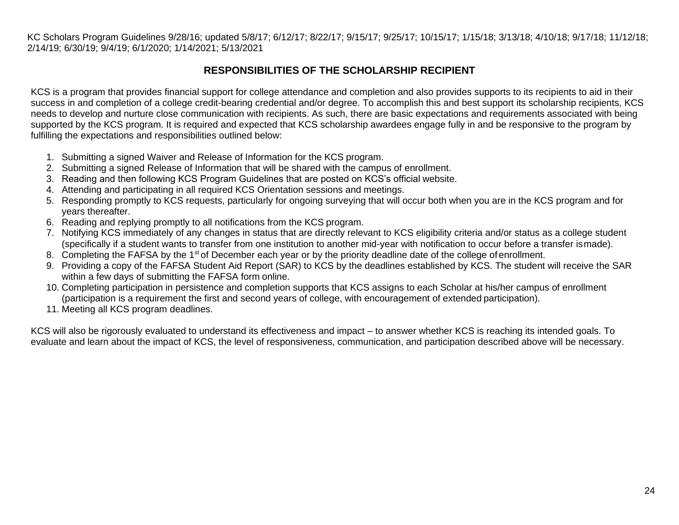# **RESPONSIBILITIES OF THE SCHOLARSHIP RECIPIENT**

<span id="page-23-0"></span>KCS is a program that provides financial support for college attendance and completion and also provides supports to its recipients to aid in their success in and completion of a college credit-bearing credential and/or degree. To accomplish this and best support its scholarship recipients, KCS needs to develop and nurture close communication with recipients. As such, there are basic expectations and requirements associated with being supported by the KCS program. It is required and expected that KCS scholarship awardees engage fully in and be responsive to the program by fulfilling the expectations and responsibilities outlined below:

- 1. Submitting a signed Waiver and Release of Information for the KCS program.
- 2. Submitting a signed Release of Information that will be shared with the campus of enrollment.
- 3. Reading and then following KCS Program Guidelines that are posted on KCS's official website.
- 4. Attending and participating in all required KCS Orientation sessions and meetings.
- 5. Responding promptly to KCS requests, particularly for ongoing surveying that will occur both when you are in the KCS program and for years thereafter.
- 6. Reading and replying promptly to all notifications from the KCS program.
- 7. Notifying KCS immediately of any changes in status that are directly relevant to KCS eligibility criteria and/or status as a college student (specifically if a student wants to transfer from one institution to another mid-year with notification to occur before a transfer ismade).
- 8. Completing the FAFSA by the 1<sup>st</sup> of December each year or by the priority deadline date of the college of enrollment.
- 9. Providing a copy of the FAFSA Student Aid Report (SAR) to KCS by the deadlines established by KCS. The student will receive the SAR within a few days of submitting the FAFSA form online.
- 10. Completing participation in persistence and completion supports that KCS assigns to each Scholar at his/her campus of enrollment (participation is a requirement the first and second years of college, with encouragement of extended participation).
- 11. Meeting all KCS program deadlines.

KCS will also be rigorously evaluated to understand its effectiveness and impact – to answer whether KCS is reaching its intended goals. To evaluate and learn about the impact of KCS, the level of responsiveness, communication, and participation described above will be necessary.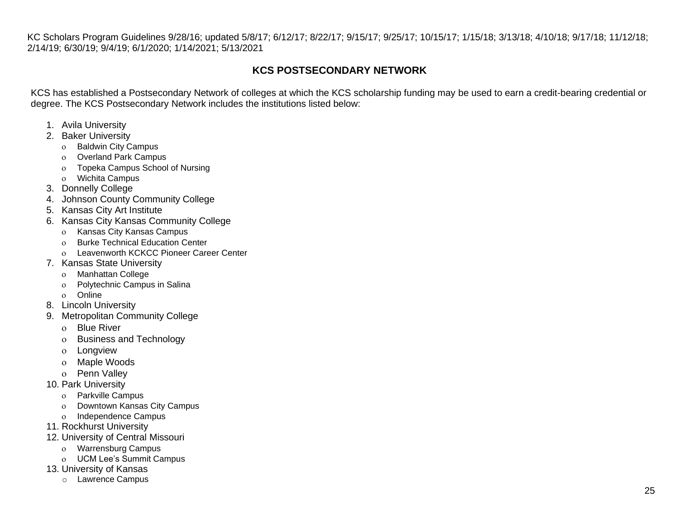# **KCS POSTSECONDARY NETWORK**

<span id="page-24-0"></span>KCS has established a Postsecondary Network of colleges at which the KCS scholarship funding may be used to earn a credit-bearing credential or degree. The KCS Postsecondary Network includes the institutions listed below:

- 1. Avila University
- 2. Baker University
	- o Baldwin City Campus
	- o Overland Park Campus
	- Topeka Campus School of Nursing
	- Wichita Campus
- 3. Donnelly College
- 4. Johnson County Community College
- 5. Kansas City Art Institute
- 6. Kansas City Kansas Community College
	- Kansas City Kansas Campus
	- o Burke Technical Education Center
	- Leavenworth KCKCC Pioneer Career Center
- 7. Kansas State University
	- Manhattan College
	- Polytechnic Campus in Salina
	- o Online
- 8. Lincoln University
- 9. Metropolitan Community College
	- Blue River
	- o Business and Technology
	- Longview
	- o Maple Woods
	- o Penn Vallev
- 10. Park University
	- Parkville Campus
	- Downtown Kansas City Campus
	- o Independence Campus
- 11. Rockhurst University
- 12. University of Central Missouri
	- Warrensburg Campus
	- UCM Lee's Summit Campus
- 13. University of Kansas
	- o Lawrence Campus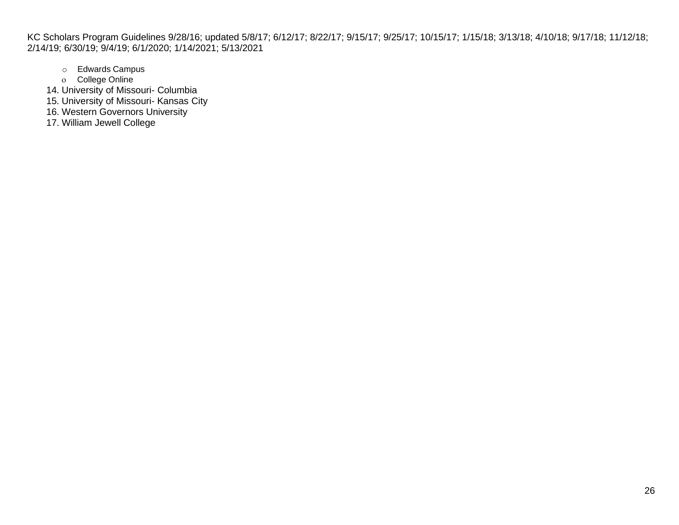- o Edwards Campus
- o College Online
- 14. University of Missouri- Columbia
- 15. University of Missouri- Kansas City
- 16. Western Governors University
- 17. William Jewell College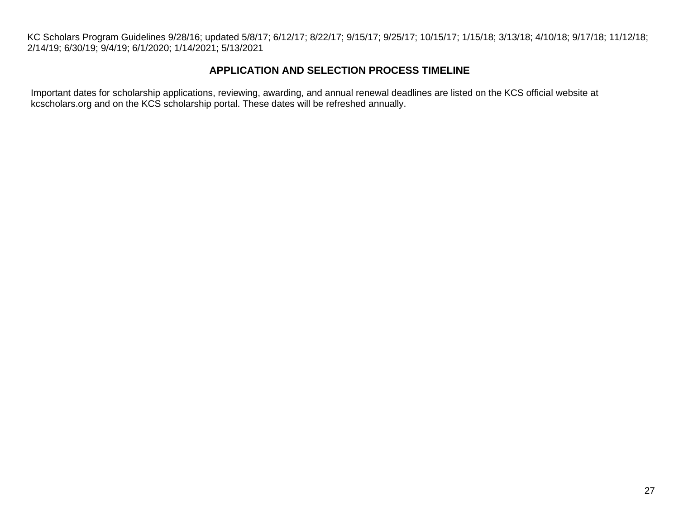## **APPLICATION AND SELECTION PROCESS TIMELINE**

<span id="page-26-0"></span>Important dates for scholarship applications, reviewing, awarding, and annual renewal deadlines are listed on the KCS official website at kcscholars.org and on the KCS scholarship portal. These dates will be refreshed annually.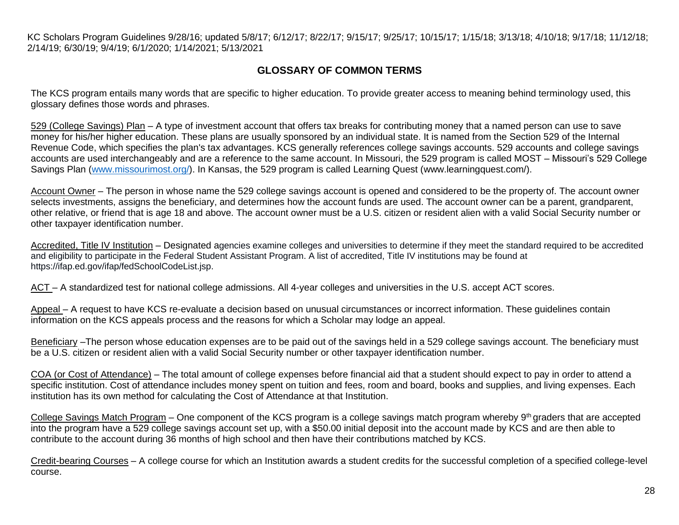# **GLOSSARY OF COMMON TERMS**

<span id="page-27-0"></span>The KCS program entails many words that are specific to higher education. To provide greater access to meaning behind terminology used, this glossary defines those words and phrases.

529 (College Savings) Plan – A type of investment account that offers tax breaks for contributing money that a named person can use to save money for his/her higher education. These plans are usually sponsored by an individual state. It is named from the Section 529 of the Internal Revenue Code, which specifies the plan's tax advantages. KCS generally references college savings accounts. 529 accounts and college savings accounts are used interchangeably and are a reference to the same account. In Missouri, the 529 program is called MOST – Missouri's 529 College Savings Plan [\(www.missourimost.org/\)](http://www.missourimost.org/). In Kansas, the 529 program is called Learning Quest [\(www.learningquest.com/\).](http://www.learningquest.com/))

Account Owner – The person in whose name the 529 college savings account is opened and considered to be the property of. The account owner selects investments, assigns the beneficiary, and determines how the account funds are used. The account owner can be a parent, grandparent, other relative, or friend that is age 18 and above. The account owner must be a U.S. citizen or resident alien with a valid Social Security number or other taxpayer identification number.

Accredited, Title IV Institution – Designated agencies examine colleges and universities to determine if they meet the standard required to be accredited and eligibility to participate in the Federal Student Assistant Program. A list of accredited, Title IV institutions may be found at https://ifap.ed.gov/ifap/fedSchoolCodeList.jsp.

ACT – A standardized test for national college admissions. All 4-year colleges and universities in the U.S. accept ACT scores.

Appeal – A request to have KCS re-evaluate a decision based on unusual circumstances or incorrect information. These guidelines contain information on the KCS appeals process and the reasons for which a Scholar may lodge an appeal.

Beneficiary –The person whose education expenses are to be paid out of the savings held in a 529 college savings account. The beneficiary must be a U.S. citizen or resident alien with a valid Social Security number or other taxpayer identification number.

COA (or Cost of Attendance) – The total amount of college expenses before financial aid that a student should expect to pay in order to attend a specific institution. Cost of attendance includes money spent on tuition and fees, room and board, books and supplies, and living expenses. Each institution has its own method for calculating the Cost of Attendance at that Institution.

College Savings Match Program – One component of the KCS program is a college savings match program whereby 9<sup>th</sup> graders that are accepted into the program have a 529 college savings account set up, with a \$50.00 initial deposit into the account made by KCS and are then able to contribute to the account during 36 months of high school and then have their contributions matched by KCS.

Credit-bearing Courses – A college course for which an Institution awards a student credits for the successful completion of a specified college-level course.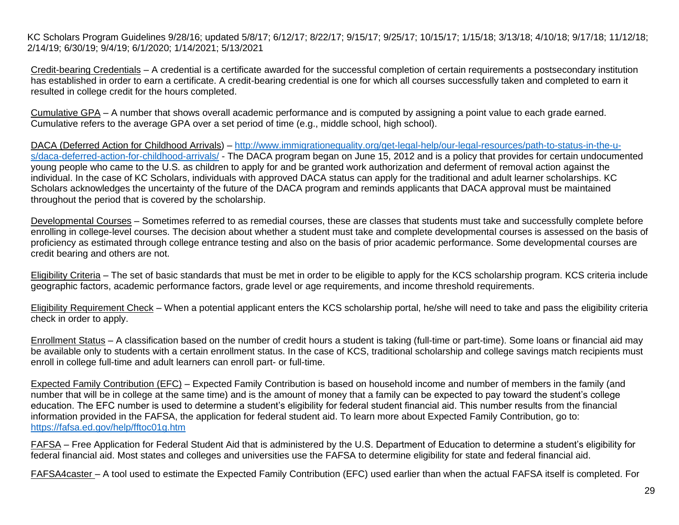Credit-bearing Credentials – A credential is a certificate awarded for the successful completion of certain requirements a postsecondary institution has established in order to earn a certificate. A credit-bearing credential is one for which all courses successfully taken and completed to earn it resulted in college credit for the hours completed.

Cumulative GPA – A number that shows overall academic performance and is computed by assigning a point value to each grade earned. Cumulative refers to the average GPA over a set period of time (e.g., middle school, high school).

DACA (Deferred Action for Childhood Arrivals) – [http://www.immigrationequality.org/get-legal-help/our-legal-resources/path-to-status-in-the-u](http://www.immigrationequality.org/get-legal-help/our-legal-resources/path-to-status-in-the-u-s/daca-deferred-action-for-childhood-arrivals/)[s/daca-deferred-action-for-childhood-arrivals/](http://www.immigrationequality.org/get-legal-help/our-legal-resources/path-to-status-in-the-u-s/daca-deferred-action-for-childhood-arrivals/) - The DACA program began on June 15, 2012 and is a policy that provides for certain undocumented young people who came to the U.S. as children to apply for and be granted work authorization and deferment of removal action against the individual. In the case of KC Scholars, individuals with approved DACA status can apply for the traditional and adult learner scholarships. KC Scholars acknowledges the uncertainty of the future of the DACA program and reminds applicants that DACA approval must be maintained throughout the period that is covered by the scholarship.

Developmental Courses – Sometimes referred to as remedial courses, these are classes that students must take and successfully complete before enrolling in college-level courses. The decision about whether a student must take and complete developmental courses is assessed on the basis of proficiency as estimated through college entrance testing and also on the basis of prior academic performance. Some developmental courses are credit bearing and others are not.

Eligibility Criteria – The set of basic standards that must be met in order to be eligible to apply for the KCS scholarship program. KCS criteria include geographic factors, academic performance factors, grade level or age requirements, and income threshold requirements.

Eligibility Requirement Check – When a potential applicant enters the KCS scholarship portal, he/she will need to take and pass the eligibility criteria check in order to apply.

Enrollment Status – A classification based on the number of credit hours a student is taking (full-time or part-time). Some loans or financial aid may be available only to students with a certain enrollment status. In the case of KCS, traditional scholarship and college savings match recipients must enroll in college full-time and adult learners can enroll part- or full-time.

Expected Family Contribution (EFC) – Expected Family Contribution is based on household income and number of members in the family (and number that will be in college at the same time) and is the amount of money that a family can be expected to pay toward the student's college education. The EFC number is used to determine a student's eligibility for federal student financial aid. This number results from the financial information provided in the FAFSA, the application for federal student aid. To learn more about Expected Family Contribution, go to: <https://fafsa.ed.gov/help/fftoc01g.htm>

FAFSA – Free Application for Federal Student Aid that is administered by the U.S. Department of Education to determine a student's eligibility for federal financial aid. Most states and colleges and universities use the FAFSA to determine eligibility for state and federal financial aid.

FAFSA4caster – A tool used to estimate the Expected Family Contribution (EFC) used earlier than when the actual FAFSA itself is completed. For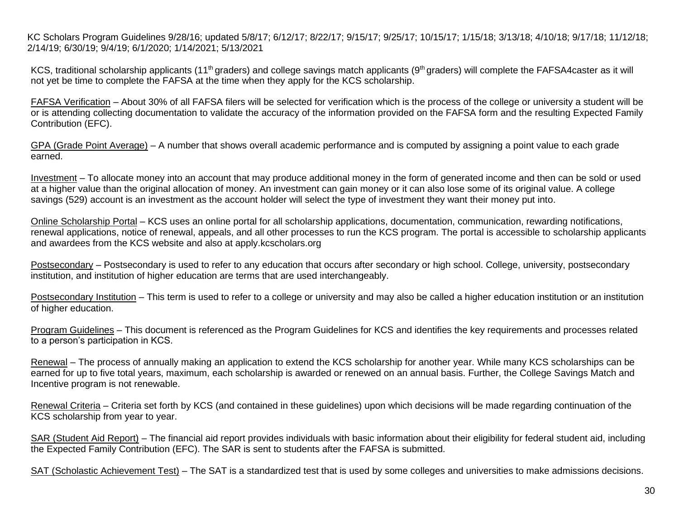KCS, traditional scholarship applicants (11<sup>th</sup> graders) and college savings match applicants (9<sup>th</sup> graders) will complete the FAFSA4caster as it will not yet be time to complete the FAFSA at the time when they apply for the KCS scholarship.

FAFSA Verification – About 30% of all FAFSA filers will be selected for verification which is the process of the college or university a student will be or is attending collecting documentation to validate the accuracy of the information provided on the FAFSA form and the resulting Expected Family Contribution (EFC).

GPA (Grade Point Average) – A number that shows overall academic performance and is computed by assigning a point value to each grade earned.

Investment – To allocate money into an account that may produce additional money in the form of generated income and then can be sold or used at a higher value than the original allocation of money. An investment can gain money or it can also lose some of its original value. A college savings (529) account is an investment as the account holder will select the type of investment they want their money put into.

Online Scholarship Portal – KCS uses an online portal for all scholarship applications, documentation, communication, rewarding notifications, renewal applications, notice of renewal, appeals, and all other processes to run the KCS program. The portal is accessible to scholarship applicants and awardees from the KCS website and also at apply.kcscholars.org

Postsecondary – Postsecondary is used to refer to any education that occurs after secondary or high school. College, university, postsecondary institution, and institution of higher education are terms that are used interchangeably.

Postsecondary Institution – This term is used to refer to a college or university and may also be called a higher education institution or an institution of higher education.

Program Guidelines – This document is referenced as the Program Guidelines for KCS and identifies the key requirements and processes related to a person's participation in KCS.

Renewal – The process of annually making an application to extend the KCS scholarship for another year. While many KCS scholarships can be earned for up to five total years, maximum, each scholarship is awarded or renewed on an annual basis. Further, the College Savings Match and Incentive program is not renewable.

Renewal Criteria – Criteria set forth by KCS (and contained in these guidelines) upon which decisions will be made regarding continuation of the KCS scholarship from year to year.

SAR (Student Aid Report) – The financial aid report provides individuals with basic information about their eligibility for federal student aid, including the Expected Family Contribution (EFC). The SAR is sent to students after the FAFSA is submitted.

SAT (Scholastic Achievement Test) – The SAT is a standardized test that is used by some colleges and universities to make admissions decisions.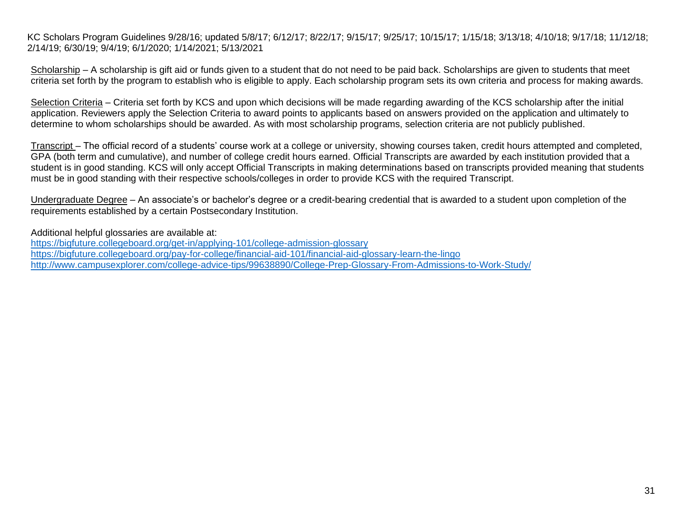Scholarship – A scholarship is gift aid or funds given to a student that do not need to be paid back. Scholarships are given to students that meet criteria set forth by the program to establish who is eligible to apply. Each scholarship program sets its own criteria and process for making awards.

Selection Criteria – Criteria set forth by KCS and upon which decisions will be made regarding awarding of the KCS scholarship after the initial application. Reviewers apply the Selection Criteria to award points to applicants based on answers provided on the application and ultimately to determine to whom scholarships should be awarded. As with most scholarship programs, selection criteria are not publicly published.

Transcript – The official record of a students' course work at a college or university, showing courses taken, credit hours attempted and completed, GPA (both term and cumulative), and number of college credit hours earned. Official Transcripts are awarded by each institution provided that a student is in good standing. KCS will only accept Official Transcripts in making determinations based on transcripts provided meaning that students must be in good standing with their respective schools/colleges in order to provide KCS with the required Transcript.

Undergraduate Degree – An associate's or bachelor's degree or a credit-bearing credential that is awarded to a student upon completion of the requirements established by a certain Postsecondary Institution.

Additional helpful glossaries are available at:

<https://bigfuture.collegeboard.org/get-in/applying-101/college-admission-glossary> <https://bigfuture.collegeboard.org/pay-for-college/financial-aid-101/financial-aid-glossary-learn-the-lingo> <http://www.campusexplorer.com/college-advice-tips/99638890/College-Prep-Glossary-From-Admissions-to-Work-Study/>